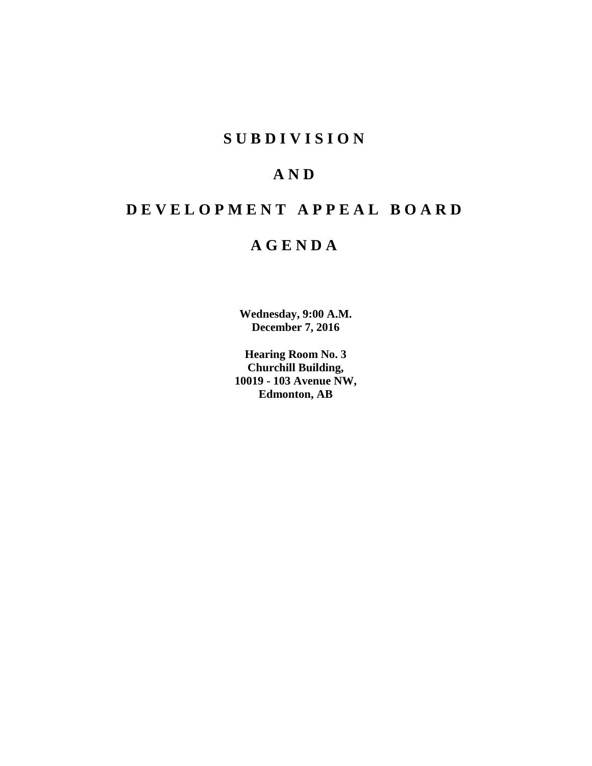# **SUBDIVISION**

# **AND**

# **DEVELOPMENT APPEAL BOARD**

# **AGENDA**

**Wednesday, 9:00 A.M. December 7, 2016**

**Hearing Room No. 3 Churchill Building, 10019 - 103 Avenue NW, Edmonton, AB**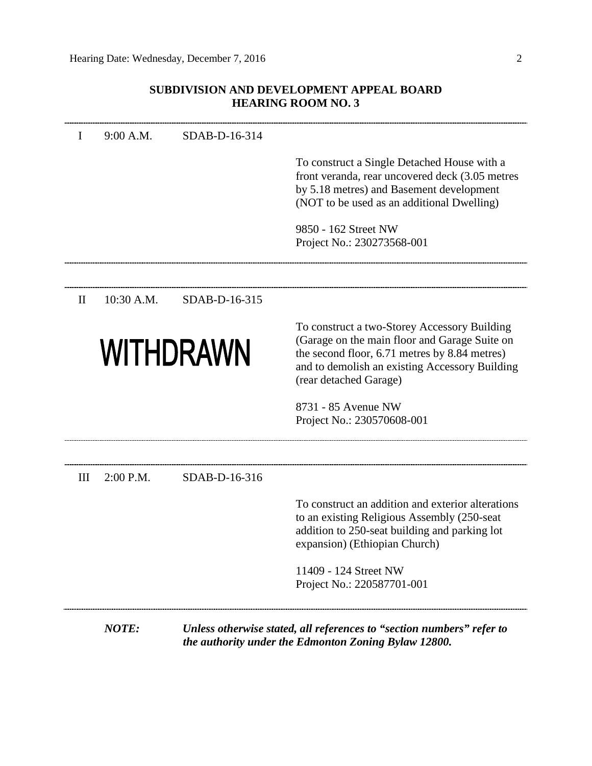## **SUBDIVISION AND DEVELOPMENT APPEAL BOARD HEARING ROOM NO. 3**

| 10:30 A.M. | SDAB-D-16-315             | To construct a Single Detached House with a<br>front veranda, rear uncovered deck (3.05 metres<br>by 5.18 metres) and Basement development<br>(NOT to be used as an additional Dwelling)<br>9850 - 162 Street NW<br>Project No.: 230273568-001 |
|------------|---------------------------|------------------------------------------------------------------------------------------------------------------------------------------------------------------------------------------------------------------------------------------------|
|            |                           |                                                                                                                                                                                                                                                |
|            |                           |                                                                                                                                                                                                                                                |
|            |                           |                                                                                                                                                                                                                                                |
|            |                           |                                                                                                                                                                                                                                                |
|            | <b>WITHDRAWN</b>          | To construct a two-Storey Accessory Building<br>(Garage on the main floor and Garage Suite on<br>the second floor, 6.71 metres by 8.84 metres)<br>and to demolish an existing Accessory Building<br>(rear detached Garage)                     |
|            |                           | 8731 - 85 Avenue NW<br>Project No.: 230570608-001                                                                                                                                                                                              |
|            |                           |                                                                                                                                                                                                                                                |
|            |                           |                                                                                                                                                                                                                                                |
|            |                           | To construct an addition and exterior alterations<br>to an existing Religious Assembly (250-seat<br>addition to 250-seat building and parking lot<br>expansion) (Ethiopian Church)                                                             |
|            |                           | 11409 - 124 Street NW<br>Project No.: 220587701-001                                                                                                                                                                                            |
|            | 2:00 P.M.<br><b>NOTE:</b> | SDAB-D-16-316<br>Unless otherwise stated, all references to "section numbers" refer to<br>the authority under the Edmonton Zoning Bylaw 12800.                                                                                                 |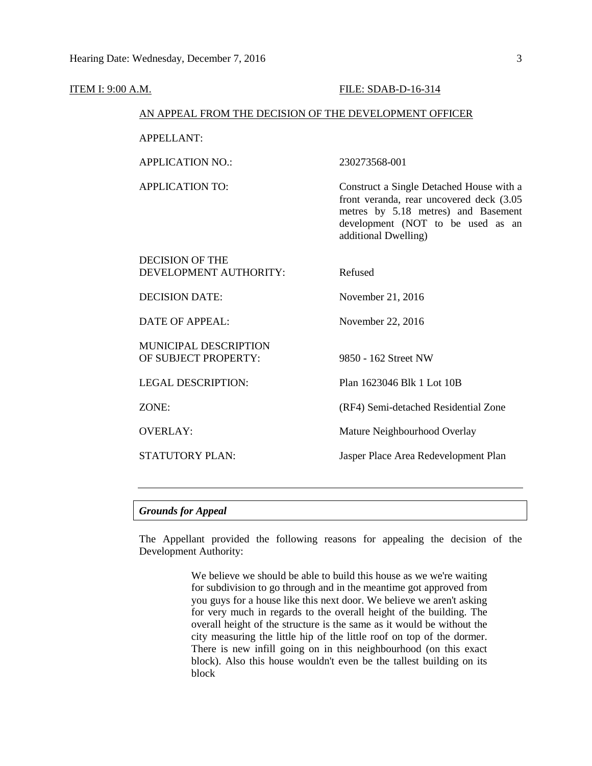| ITEM I: 9:00 A.M. |                                                        | FILE: SDAB-D-16-314                                                                                                                                                                      |
|-------------------|--------------------------------------------------------|------------------------------------------------------------------------------------------------------------------------------------------------------------------------------------------|
|                   | AN APPEAL FROM THE DECISION OF THE DEVELOPMENT OFFICER |                                                                                                                                                                                          |
|                   | <b>APPELLANT:</b>                                      |                                                                                                                                                                                          |
|                   | <b>APPLICATION NO.:</b>                                | 230273568-001                                                                                                                                                                            |
|                   | <b>APPLICATION TO:</b>                                 | Construct a Single Detached House with a<br>front veranda, rear uncovered deck (3.05<br>metres by 5.18 metres) and Basement<br>development (NOT to be used as an<br>additional Dwelling) |
|                   | <b>DECISION OF THE</b><br>DEVELOPMENT AUTHORITY:       | Refused                                                                                                                                                                                  |
|                   | <b>DECISION DATE:</b>                                  | November 21, 2016                                                                                                                                                                        |
|                   | <b>DATE OF APPEAL:</b>                                 | November 22, 2016                                                                                                                                                                        |
|                   | MUNICIPAL DESCRIPTION<br>OF SUBJECT PROPERTY:          | 9850 - 162 Street NW                                                                                                                                                                     |
|                   | <b>LEGAL DESCRIPTION:</b>                              | Plan 1623046 Blk 1 Lot 10B                                                                                                                                                               |
|                   | ZONE:                                                  | (RF4) Semi-detached Residential Zone                                                                                                                                                     |
|                   | <b>OVERLAY:</b>                                        | Mature Neighbourhood Overlay                                                                                                                                                             |
|                   | <b>STATUTORY PLAN:</b>                                 | Jasper Place Area Redevelopment Plan                                                                                                                                                     |
|                   |                                                        |                                                                                                                                                                                          |

## *Grounds for Appeal*

The Appellant provided the following reasons for appealing the decision of the Development Authority:

> We believe we should be able to build this house as we we're waiting for subdivision to go through and in the meantime got approved from you guys for a house like this next door. We believe we aren't asking for very much in regards to the overall height of the building. The overall height of the structure is the same as it would be without the city measuring the little hip of the little roof on top of the dormer. There is new infill going on in this neighbourhood (on this exact block). Also this house wouldn't even be the tallest building on its block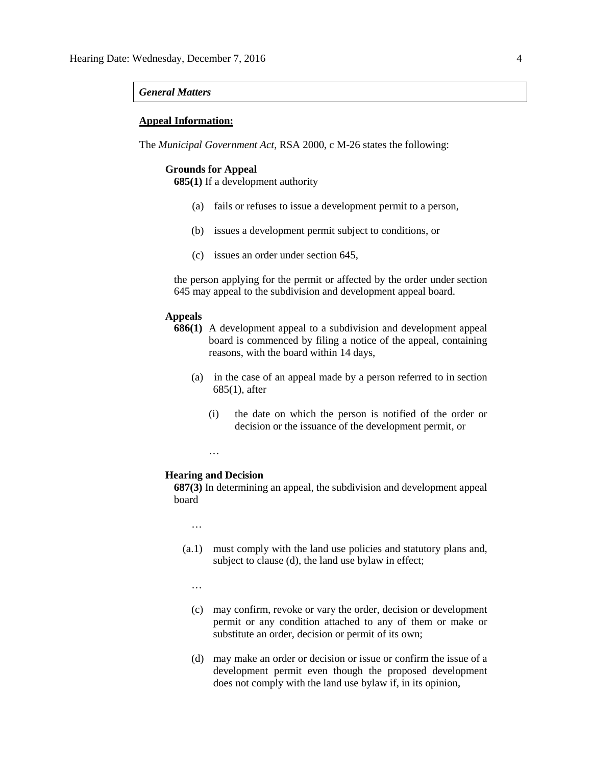#### *General Matters*

#### **Appeal Information:**

The *Municipal Government Act*, RSA 2000, c M-26 states the following:

### **Grounds for Appeal**

**685(1)** If a development authority

- (a) fails or refuses to issue a development permit to a person,
- (b) issues a development permit subject to conditions, or
- (c) issues an order under section 645,

the person applying for the permit or affected by the order under section 645 may appeal to the subdivision and development appeal board.

#### **Appeals**

- **686(1)** A development appeal to a subdivision and development appeal board is commenced by filing a notice of the appeal, containing reasons, with the board within 14 days,
	- (a) in the case of an appeal made by a person referred to in section 685(1), after
		- (i) the date on which the person is notified of the order or decision or the issuance of the development permit, or

…

#### **Hearing and Decision**

**687(3)** In determining an appeal, the subdivision and development appeal board

…

- (a.1) must comply with the land use policies and statutory plans and, subject to clause (d), the land use bylaw in effect;
	- …
	- (c) may confirm, revoke or vary the order, decision or development permit or any condition attached to any of them or make or substitute an order, decision or permit of its own;
	- (d) may make an order or decision or issue or confirm the issue of a development permit even though the proposed development does not comply with the land use bylaw if, in its opinion,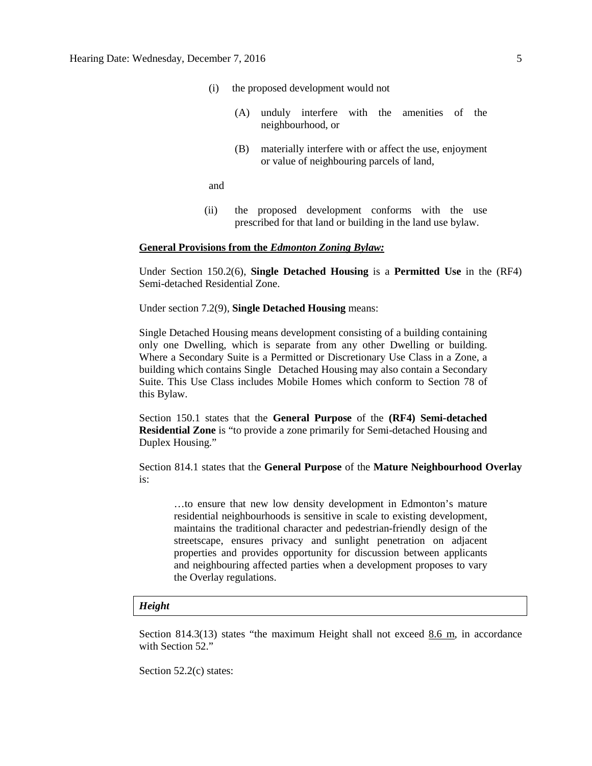- (i) the proposed development would not
	- (A) unduly interfere with the amenities of the neighbourhood, or
	- (B) materially interfere with or affect the use, enjoyment or value of neighbouring parcels of land,

and

(ii) the proposed development conforms with the use prescribed for that land or building in the land use bylaw.

#### **General Provisions from the** *Edmonton Zoning Bylaw:*

Under Section 150.2(6), **Single Detached Housing** is a **Permitted Use** in the (RF4) Semi-detached Residential Zone.

Under section 7.2(9), **Single Detached Housing** means:

Single Detached Housing means development consisting of a building containing only one Dwelling, which is separate from any other Dwelling or building. Where a Secondary Suite is a Permitted or Discretionary Use Class in a Zone, a building which contains Single Detached Housing may also contain a Secondary Suite. This Use Class includes Mobile Homes which conform to Section 78 of this Bylaw.

Section 150.1 states that the **General Purpose** of the **(RF4) Semi-detached Residential Zone** is "to provide a zone primarily for Semi-detached Housing and Duplex Housing."

Section 814.1 states that the **General Purpose** of the **Mature Neighbourhood Overlay**  is:

…to ensure that new low density development in Edmonton's mature residential neighbourhoods is sensitive in scale to existing development, maintains the traditional character and pedestrian-friendly design of the streetscape, ensures privacy and sunlight penetration on adjacent properties and provides opportunity for discussion between applicants and neighbouring affected parties when a development proposes to vary the Overlay regulations.

#### *Height*

Section 814.3(13) states "the maximum Height shall not exceed 8.6 m, in accordance with Section 52."

Section 52.2(c) states: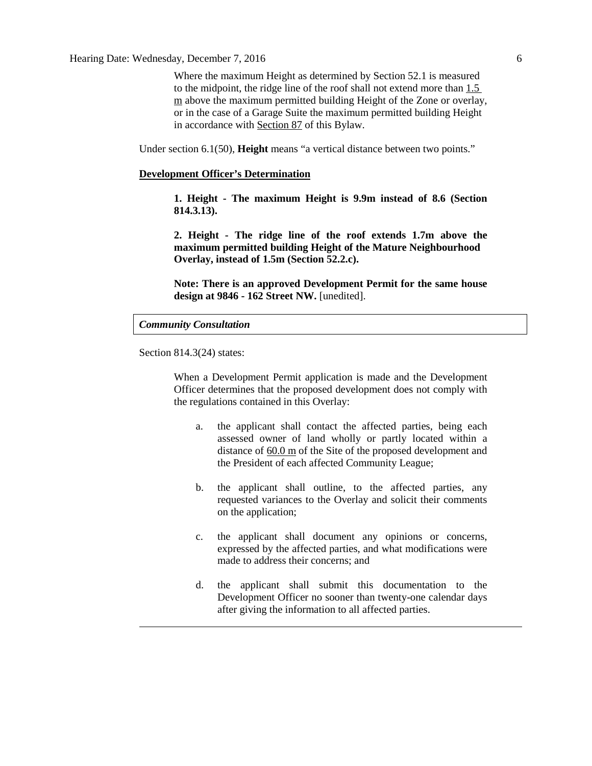Hearing Date: Wednesday, December 7, 2016 6

Where the maximum Height as determined by Section 52.1 is measured to the midpoint, the ridge line of the roof shall not extend more than 1.5 m above the maximum permitted building Height of the Zone or overlay, or in the case of a Garage Suite the maximum permitted building Height in accordance with Section 87 of this Bylaw.

Under section 6.1(50), **Height** means "a vertical distance between two points."

#### **Development Officer's Determination**

**1. Height - The maximum Height is 9.9m instead of 8.6 (Section 814.3.13).**

**2. Height - The ridge line of the roof extends 1.7m above the maximum permitted building Height of the Mature Neighbourhood Overlay, instead of 1.5m (Section 52.2.c).**

**Note: There is an approved Development Permit for the same house design at 9846 - 162 Street NW.** [unedited].

#### *Community Consultation*

Section 814.3(24) states:

When a Development Permit application is made and the Development Officer determines that the proposed development does not comply with the regulations contained in this Overlay:

- a. the applicant shall contact the affected parties, being each assessed owner of land wholly or partly located within a distance of  $60.0 \text{ m}$  $60.0 \text{ m}$  of the Site of the proposed development and the President of each affected Community League;
- b. the applicant shall outline, to the affected parties, any requested variances to the Overlay and solicit their comments on the application;
- c. the applicant shall document any opinions or concerns, expressed by the affected parties, and what modifications were made to address their concerns; and
- d. the applicant shall submit this documentation to the Development Officer no sooner than twenty-one calendar days after giving the information to all affected parties.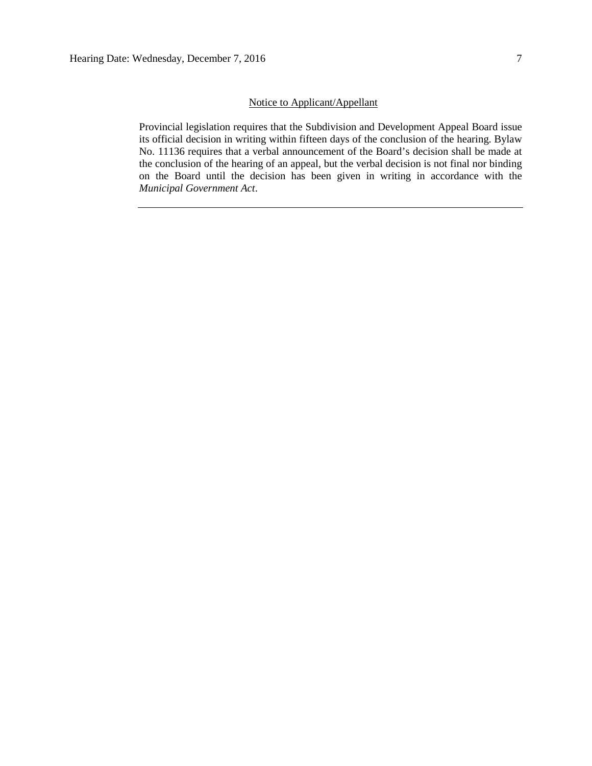## Notice to Applicant/Appellant

Provincial legislation requires that the Subdivision and Development Appeal Board issue its official decision in writing within fifteen days of the conclusion of the hearing. Bylaw No. 11136 requires that a verbal announcement of the Board's decision shall be made at the conclusion of the hearing of an appeal, but the verbal decision is not final nor binding on the Board until the decision has been given in writing in accordance with the *Municipal Government Act*.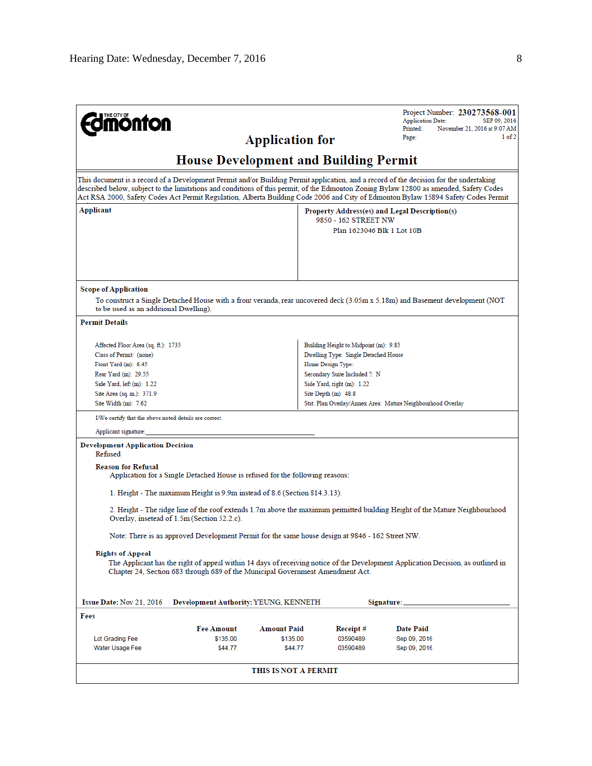| <b>mönton</b>                                                                                                                                                                                                                                                                                                                                                                                                                                                         |                                       | <b>Application for</b>                                                                                                                                                             |                                                    | Project Number: 230273568-001<br><b>Application Date:</b><br>SEP 09, 2016<br>Printed:<br>November 21, 2016 at 9:07 AM<br>1 of 2<br>Page:                                                                                                                                                                                                                                                                              |
|-----------------------------------------------------------------------------------------------------------------------------------------------------------------------------------------------------------------------------------------------------------------------------------------------------------------------------------------------------------------------------------------------------------------------------------------------------------------------|---------------------------------------|------------------------------------------------------------------------------------------------------------------------------------------------------------------------------------|----------------------------------------------------|-----------------------------------------------------------------------------------------------------------------------------------------------------------------------------------------------------------------------------------------------------------------------------------------------------------------------------------------------------------------------------------------------------------------------|
|                                                                                                                                                                                                                                                                                                                                                                                                                                                                       |                                       | <b>House Development and Building Permit</b>                                                                                                                                       |                                                    |                                                                                                                                                                                                                                                                                                                                                                                                                       |
|                                                                                                                                                                                                                                                                                                                                                                                                                                                                       |                                       |                                                                                                                                                                                    |                                                    | This document is a record of a Development Permit and/or Building Permit application, and a record of the decision for the undertaking<br>described below, subject to the limitations and conditions of this permit, of the Edmonton Zoning Bylaw 12800 as amended, Safety Codes<br>Act RSA 2000, Safety Codes Act Permit Regulation, Alberta Building Code 2006 and City of Edmonton Bylaw 15894 Safety Codes Permit |
| Applicant                                                                                                                                                                                                                                                                                                                                                                                                                                                             |                                       |                                                                                                                                                                                    | 9850 - 162 STREET NW<br>Plan 1623046 Blk 1 Lot 10B | Property Address(es) and Legal Description(s)                                                                                                                                                                                                                                                                                                                                                                         |
| <b>Scope of Application</b><br>to be used as an additional Dwelling).                                                                                                                                                                                                                                                                                                                                                                                                 |                                       |                                                                                                                                                                                    |                                                    | To construct a Single Detached House with a front veranda, rear uncovered deck (3.05m x 5.18m) and Basement development (NOT                                                                                                                                                                                                                                                                                          |
| <b>Permit Details</b>                                                                                                                                                                                                                                                                                                                                                                                                                                                 |                                       |                                                                                                                                                                                    |                                                    |                                                                                                                                                                                                                                                                                                                                                                                                                       |
| Building Height to Midpoint (m): 9.85<br>Affected Floor Area (sq. ft.): 1735<br>Dwelling Type: Single Detached House<br>Class of Permit: (none)<br>Front Yard $(m)$ : 6.45<br>Home Design Type:<br>Rear Yard (m): 29.55<br>Secondary Suite Included ?: N<br>Side Yard, left (m): 1.22<br>Side Yard, right (m): 1.22<br>Site Area (sq. m.): 371.9<br>Site Depth $(m)$ : 48.8<br>Site Width $(m)$ : 7.62<br>Stat. Plan Overlay/Annex Area: Mature Neighbourhood Overlay |                                       |                                                                                                                                                                                    |                                                    |                                                                                                                                                                                                                                                                                                                                                                                                                       |
| I/We certify that the above noted details are correct.                                                                                                                                                                                                                                                                                                                                                                                                                |                                       |                                                                                                                                                                                    |                                                    |                                                                                                                                                                                                                                                                                                                                                                                                                       |
| Applicant signature:                                                                                                                                                                                                                                                                                                                                                                                                                                                  |                                       |                                                                                                                                                                                    |                                                    |                                                                                                                                                                                                                                                                                                                                                                                                                       |
| <b>Development Application Decision</b><br>Refused<br><b>Reason for Refusal</b>                                                                                                                                                                                                                                                                                                                                                                                       |                                       | Application for a Single Detached House is refused for the following reasons:<br>1. Height - The maximum Height is 9.9m instead of 8.6 (Section 814.3.13).                         |                                                    | 2. Height - The ridge line of the roof extends 1.7m above the maximum permitted building Height of the Mature Neighbourhood                                                                                                                                                                                                                                                                                           |
| Overlay, insetead of 1.5m (Section 52.2.c).                                                                                                                                                                                                                                                                                                                                                                                                                           |                                       |                                                                                                                                                                                    |                                                    |                                                                                                                                                                                                                                                                                                                                                                                                                       |
| <b>Rights of Appeal</b>                                                                                                                                                                                                                                                                                                                                                                                                                                               |                                       | Note: There is an approved Development Permit for the same house design at 9846 - 162 Street NW.<br>Chapter 24, Section 683 through 689 of the Municipal Government Amendment Act. |                                                    | The Applicant has the right of appeal within 14 days of receiving notice of the Development Application Decision, as outlined in                                                                                                                                                                                                                                                                                      |
| Issue Date: Nov 21, 2016                                                                                                                                                                                                                                                                                                                                                                                                                                              | Development Authority: YEUNG, KENNETH |                                                                                                                                                                                    |                                                    | Signature: _                                                                                                                                                                                                                                                                                                                                                                                                          |
| Fees                                                                                                                                                                                                                                                                                                                                                                                                                                                                  |                                       |                                                                                                                                                                                    |                                                    |                                                                                                                                                                                                                                                                                                                                                                                                                       |
|                                                                                                                                                                                                                                                                                                                                                                                                                                                                       | <b>Fee Amount</b>                     | <b>Amount Paid</b>                                                                                                                                                                 | Receipt#                                           | <b>Date Paid</b>                                                                                                                                                                                                                                                                                                                                                                                                      |
| Lot Grading Fee<br>Water Usage Fee                                                                                                                                                                                                                                                                                                                                                                                                                                    | \$135.00<br>\$44.77                   | \$135.00<br>\$44.77                                                                                                                                                                | 03590489<br>03590489                               | Sep 09, 2016<br>Sep 09, 2016                                                                                                                                                                                                                                                                                                                                                                                          |
|                                                                                                                                                                                                                                                                                                                                                                                                                                                                       |                                       | THIS IS NOT A PERMIT                                                                                                                                                               |                                                    |                                                                                                                                                                                                                                                                                                                                                                                                                       |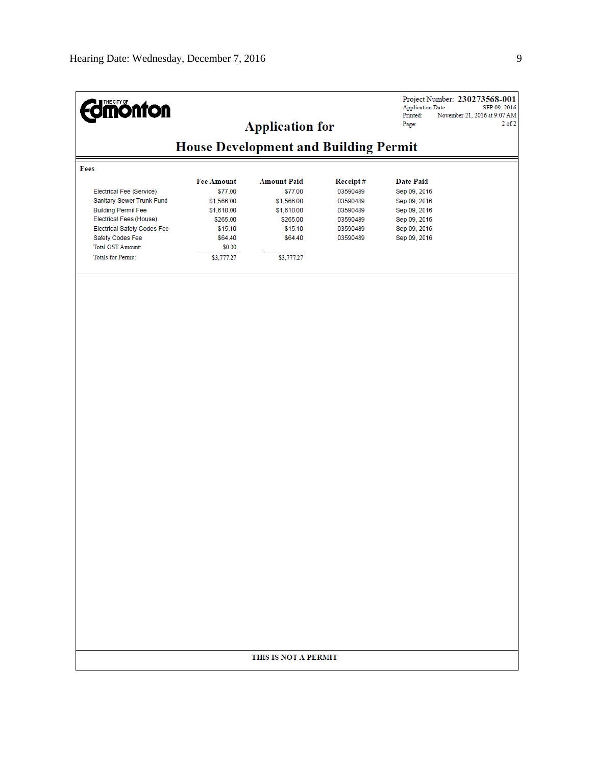| <b>dmönton</b>                                                                                                                                                                                                             |                                                                                                                    | <b>Application for</b>                                                                                    |                                                                                  | <b>Application Date:</b><br>Printed:<br>Page:                                                                    | Project Number: 230273568-001<br>SEP 09, 2016<br>November 21, 2016 at 9:07 AM<br>$2$ of $2$ |
|----------------------------------------------------------------------------------------------------------------------------------------------------------------------------------------------------------------------------|--------------------------------------------------------------------------------------------------------------------|-----------------------------------------------------------------------------------------------------------|----------------------------------------------------------------------------------|------------------------------------------------------------------------------------------------------------------|---------------------------------------------------------------------------------------------|
|                                                                                                                                                                                                                            | <b>House Development and Building Permit</b>                                                                       |                                                                                                           |                                                                                  |                                                                                                                  |                                                                                             |
| Fees                                                                                                                                                                                                                       |                                                                                                                    |                                                                                                           |                                                                                  |                                                                                                                  |                                                                                             |
| Electrical Fee (Service)<br>Sanitary Sewer Trunk Fund<br><b>Building Permit Fee</b><br>Electrical Fees (House)<br><b>Electrical Safety Codes Fee</b><br>Safety Codes Fee<br><b>Total GST Amount:</b><br>Totals for Permit: | <b>Fee Amount</b><br>\$77.00<br>\$1,566.00<br>\$1,610.00<br>\$265.00<br>\$15.10<br>\$64.40<br>\$0.00<br>\$3,777.27 | <b>Amount Paid</b><br>\$77.00<br>\$1,566.00<br>\$1,610.00<br>\$265.00<br>\$15.10<br>\$64.40<br>\$3,777.27 | Receipt#<br>03590489<br>03590489<br>03590489<br>03590489<br>03590489<br>03590489 | <b>Date Paid</b><br>Sep 09, 2016<br>Sep 09, 2016<br>Sep 09, 2016<br>Sep 09, 2016<br>Sep 09, 2016<br>Sep 09, 2016 |                                                                                             |
|                                                                                                                                                                                                                            |                                                                                                                    |                                                                                                           |                                                                                  |                                                                                                                  |                                                                                             |
|                                                                                                                                                                                                                            |                                                                                                                    |                                                                                                           |                                                                                  |                                                                                                                  |                                                                                             |
|                                                                                                                                                                                                                            |                                                                                                                    |                                                                                                           |                                                                                  |                                                                                                                  |                                                                                             |
|                                                                                                                                                                                                                            |                                                                                                                    |                                                                                                           |                                                                                  |                                                                                                                  |                                                                                             |
|                                                                                                                                                                                                                            |                                                                                                                    |                                                                                                           |                                                                                  |                                                                                                                  |                                                                                             |
|                                                                                                                                                                                                                            |                                                                                                                    |                                                                                                           |                                                                                  |                                                                                                                  |                                                                                             |
|                                                                                                                                                                                                                            |                                                                                                                    |                                                                                                           |                                                                                  |                                                                                                                  |                                                                                             |
|                                                                                                                                                                                                                            |                                                                                                                    | THIS IS NOT A PERMIT                                                                                      |                                                                                  |                                                                                                                  |                                                                                             |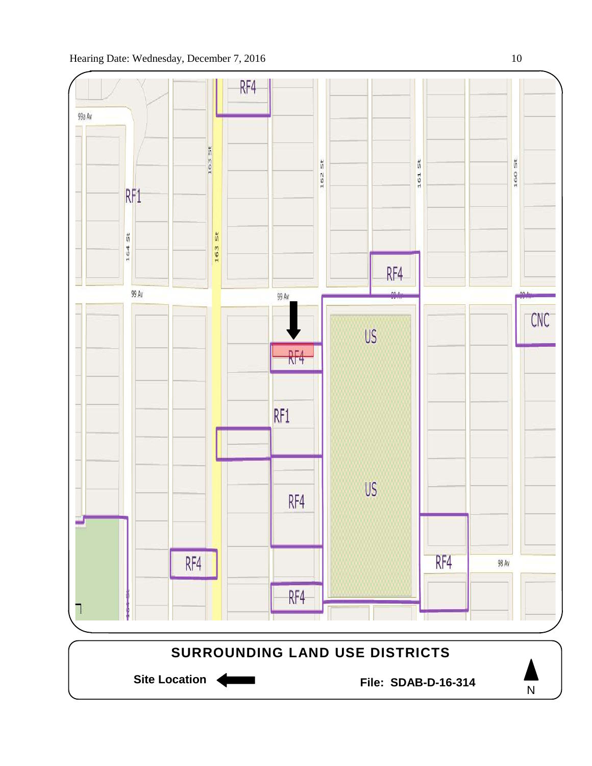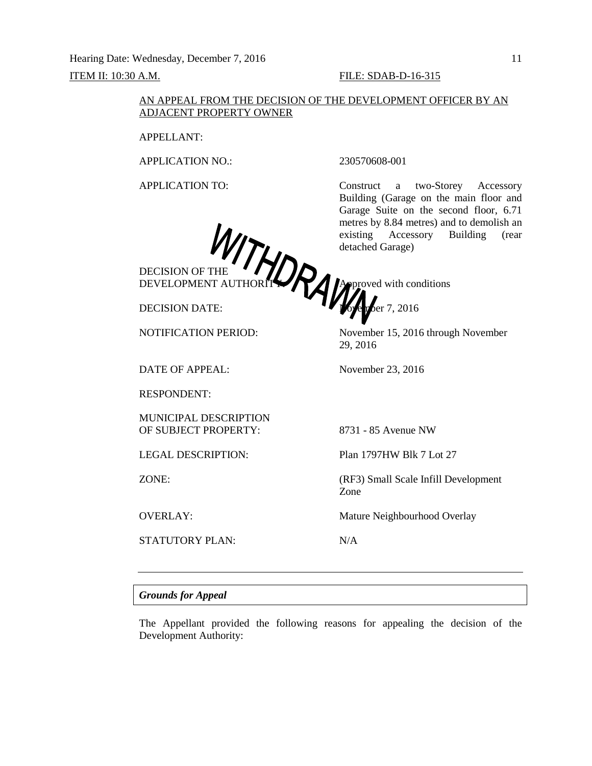Hearing Date: Wednesday, December 7, 2016 11 **ITEM II: 10:30 A.M. FILE: SDAB-D-16-315** 

Building (Garage on the main floor and Garage Suite on the second floor, 6.71 metres by 8.84 metres) and to demolish an existing Accessory Building (rear

#### AN APPEAL FROM THE DECISION OF THE DEVELOPMENT OFFICER BY AN ADJACENT PROPERTY OWNER

APPELLANT:

APPLICATION NO.: 230570608-001

APPLICATION TO: Construct a two-Storey Accessory

DECISION OF THE DEVELOPMENT AUTHORITY **A A A** proved with conditions

DECISION DATE: **November 7, 2016** 

NOTIFICATION PERIOD: November 15, 2016 through November

DATE OF APPEAL: November 23, 2016

RESPONDENT:

MUNICIPAL DESCRIPTION OF SUBJECT PROPERTY: 8731 - 85 Avenue NW

STATUTORY PLAN: N/A

detached Garage)

29, 2016

LEGAL DESCRIPTION: Plan 1797HW Blk 7 Lot 27

ZONE: (RF3) Small Scale Infill Development Zone

OVERLAY: Mature Neighbourhood Overlay

#### *Grounds for Appeal*

The Appellant provided the following reasons for appealing the decision of the Development Authority: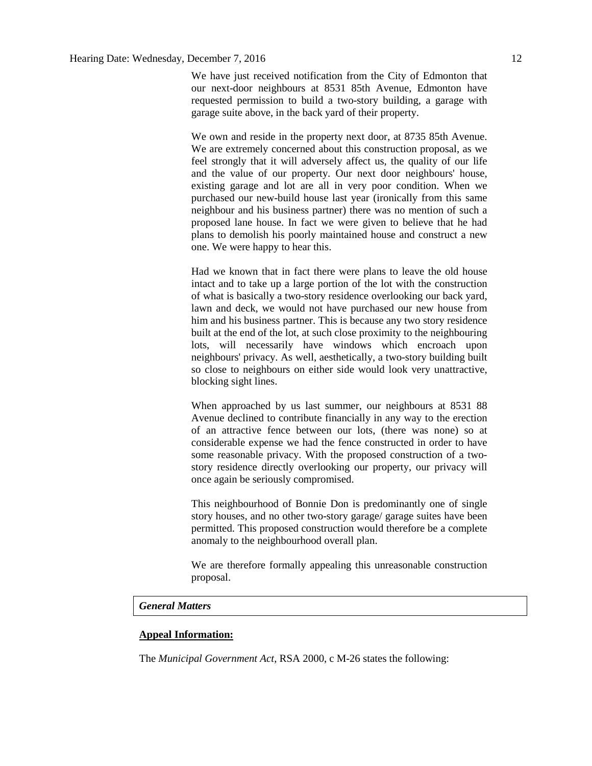We have just received notification from the City of Edmonton that our next-door neighbours at 8531 85th Avenue, Edmonton have requested permission to build a two-story building, a garage with garage suite above, in the back yard of their property.

We own and reside in the property next door, at 8735 85th Avenue. We are extremely concerned about this construction proposal, as we feel strongly that it will adversely affect us, the quality of our life and the value of our property. Our next door neighbours' house, existing garage and lot are all in very poor condition. When we purchased our new-build house last year (ironically from this same neighbour and his business partner) there was no mention of such a proposed lane house. In fact we were given to believe that he had plans to demolish his poorly maintained house and construct a new one. We were happy to hear this.

Had we known that in fact there were plans to leave the old house intact and to take up a large portion of the lot with the construction of what is basically a two-story residence overlooking our back yard, lawn and deck, we would not have purchased our new house from him and his business partner. This is because any two story residence built at the end of the lot, at such close proximity to the neighbouring lots, will necessarily have windows which encroach upon neighbours' privacy. As well, aesthetically, a two-story building built so close to neighbours on either side would look very unattractive, blocking sight lines.

When approached by us last summer, our neighbours at 8531 88 Avenue declined to contribute financially in any way to the erection of an attractive fence between our lots, (there was none) so at considerable expense we had the fence constructed in order to have some reasonable privacy. With the proposed construction of a twostory residence directly overlooking our property, our privacy will once again be seriously compromised.

This neighbourhood of Bonnie Don is predominantly one of single story houses, and no other two-story garage/ garage suites have been permitted. This proposed construction would therefore be a complete anomaly to the neighbourhood overall plan.

We are therefore formally appealing this unreasonable construction proposal.

## *General Matters*

#### **Appeal Information:**

The *Municipal Government Act*, RSA 2000, c M-26 states the following: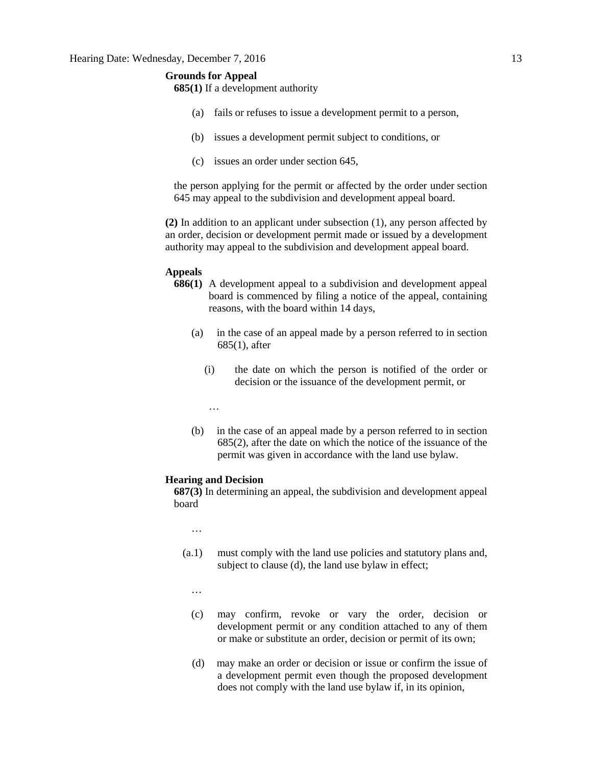### **Grounds for Appeal**

**685(1)** If a development authority

- (a) fails or refuses to issue a development permit to a person,
- (b) issues a development permit subject to conditions, or
- (c) issues an order under section 645,

the person applying for the permit or affected by the order under section 645 may appeal to the subdivision and development appeal board.

**(2)** In addition to an applicant under subsection (1), any person affected by an order, decision or development permit made or issued by a development authority may appeal to the subdivision and development appeal board.

#### **Appeals**

- **686(1)** A development appeal to a subdivision and development appeal board is commenced by filing a notice of the appeal, containing reasons, with the board within 14 days,
	- (a) in the case of an appeal made by a person referred to in section 685(1), after
		- (i) the date on which the person is notified of the order or decision or the issuance of the development permit, or
		- …
	- (b) in the case of an appeal made by a person referred to in section 685(2), after the date on which the notice of the issuance of the permit was given in accordance with the land use bylaw.

#### **Hearing and Decision**

**687(3)** In determining an appeal, the subdivision and development appeal board

…

- (a.1) must comply with the land use policies and statutory plans and, subject to clause (d), the land use bylaw in effect;
	- …
	- (c) may confirm, revoke or vary the order, decision or development permit or any condition attached to any of them or make or substitute an order, decision or permit of its own;
	- (d) may make an order or decision or issue or confirm the issue of a development permit even though the proposed development does not comply with the land use bylaw if, in its opinion,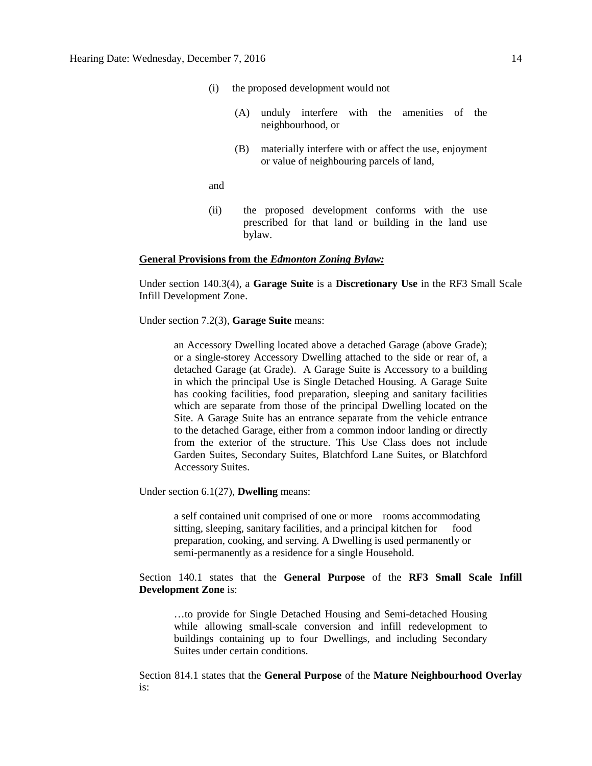- (i) the proposed development would not
	- (A) unduly interfere with the amenities of the neighbourhood, or
	- (B) materially interfere with or affect the use, enjoyment or value of neighbouring parcels of land,

and

(ii) the proposed development conforms with the use prescribed for that land or building in the land use bylaw.

#### **General Provisions from the** *Edmonton Zoning Bylaw:*

Under section 140.3(4), a **Garage Suite** is a **Discretionary Use** in the RF3 Small Scale Infill Development Zone.

Under section 7.2(3), **Garage Suite** means:

an Accessory Dwelling located above a detached Garage (above Grade); or a single-storey Accessory Dwelling attached to the side or rear of, a detached Garage (at Grade). A Garage Suite is Accessory to a building in which the principal Use is Single Detached Housing. A Garage Suite has cooking facilities, food preparation, sleeping and sanitary facilities which are separate from those of the principal Dwelling located on the Site. A Garage Suite has an entrance separate from the vehicle entrance to the detached Garage, either from a common indoor landing or directly from the exterior of the structure. This Use Class does not include Garden Suites, Secondary Suites, Blatchford Lane Suites, or Blatchford Accessory Suites.

Under section 6.1(27), **Dwelling** means:

a self contained unit comprised of one or more rooms accommodating sitting, sleeping, sanitary facilities, and a principal kitchen for food preparation, cooking, and serving. A Dwelling is used permanently or semi-permanently as a residence for a single Household.

Section 140.1 states that the **General Purpose** of the **RF3 Small Scale Infill Development Zone** is:

…to provide for Single Detached Housing and Semi-detached Housing while allowing small-scale conversion and infill redevelopment to buildings containing up to four Dwellings, and including Secondary Suites under certain conditions.

Section 814.1 states that the **General Purpose** of the **Mature Neighbourhood Overlay**  is: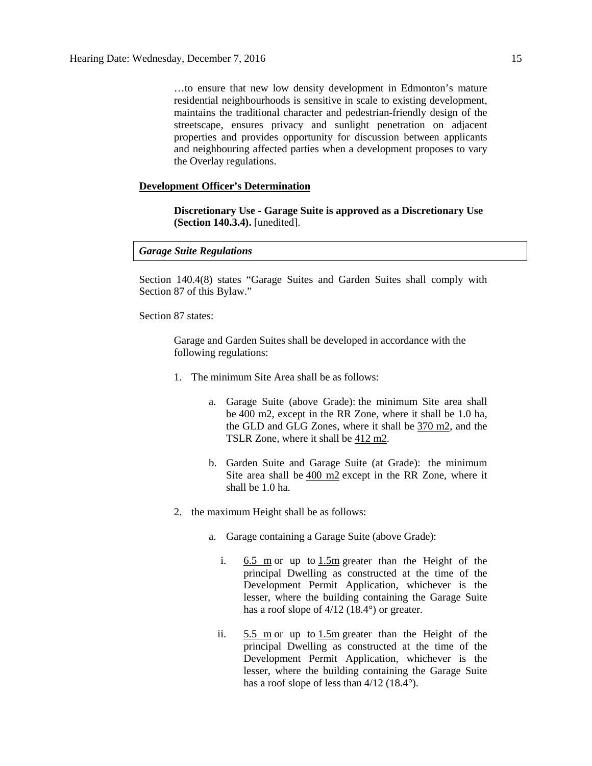…to ensure that new low density development in Edmonton's mature residential neighbourhoods is sensitive in scale to existing development, maintains the traditional character and pedestrian-friendly design of the streetscape, ensures privacy and sunlight penetration on adjacent properties and provides opportunity for discussion between applicants and neighbouring affected parties when a development proposes to vary the Overlay regulations.

#### **Development Officer's Determination**

**Discretionary Use - Garage Suite is approved as a Discretionary Use (Section 140.3.4).** [unedited].

#### *Garage Suite Regulations*

Section 140.4(8) states "Garage Suites and Garden Suites shall comply with Section 87 of this Bylaw."

Section 87 states:

Garage and Garden Suites shall be developed in accordance with the following regulations:

- 1. The minimum Site Area shall be as follows:
	- a. Garage Suite (above Grade): the minimum Site area shall be [400 m2,](javascript:BSSCPopup() except in the RR Zone, where it shall be 1.0 ha, the GLD and GLG Zones, where it shall be [370 m2,](javascript:BSSCPopup() and the TSLR Zone, where it shall be [412 m2.](javascript:BSSCPopup()
	- b. Garden Suite and Garage Suite (at Grade): the minimum Site area shall be [400 m2](javascript:BSSCPopup() except in the RR Zone, where it shall be 1.0 ha.
- 2. the maximum Height shall be as follows:
	- a. Garage containing a Garage Suite (above Grade):
		- i. [6.5 m](javascript:BSSCPopup() or up to [1.5m](javascript:BSSCPopup() greater than the Height of the principal Dwelling as constructed at the time of the Development Permit Application, whichever is the lesser, where the building containing the Garage Suite has a roof slope of 4/12 (18.4°) or greater.
		- ii.  $5.5 \text{ m}$  or up to  $1.5 \text{ m}$  greater than the Height of the principal Dwelling as constructed at the time of the Development Permit Application, whichever is the lesser, where the building containing the Garage Suite has a roof slope of less than  $4/12$  (18.4°).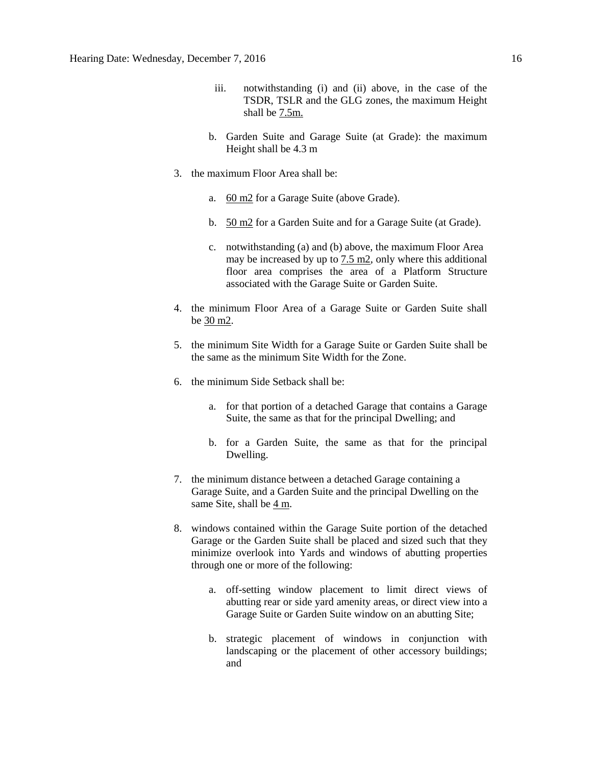- iii. notwithstanding (i) and (ii) above, in the case of the TSDR, TSLR and the GLG zones, the maximum Height shall be [7.5m.](javascript:BSSCPopup()
- b. Garden Suite and Garage Suite (at Grade): the maximum Height shall be 4.3 m
- 3. the maximum Floor Area shall be:
	- a. [60 m2](javascript:BSSCPopup() for a Garage Suite (above Grade).
	- b. [50 m2](javascript:BSSCPopup() for a Garden Suite and for a Garage Suite (at Grade).
	- c. notwithstanding (a) and (b) above, the maximum Floor Area may be increased by up to  $7.5 \text{ m2}$ , only where this additional floor area comprises the area of a Platform Structure associated with the Garage Suite or Garden Suite.
- 4. the minimum Floor Area of a Garage Suite or Garden Suite shall be [30 m2.](javascript:BSSCPopup()
- 5. the minimum Site Width for a Garage Suite or Garden Suite shall be the same as the minimum Site Width for the Zone.
- 6. the minimum Side Setback shall be:
	- a. for that portion of a detached Garage that contains a Garage Suite, the same as that for the principal Dwelling; and
	- b. for a Garden Suite, the same as that for the principal Dwelling.
- 7. the minimum distance between a detached Garage containing a Garage Suite, and a Garden Suite and the principal Dwelling on the same Site, shall be [4 m.](javascript:BSSCPopup()
- 8. windows contained within the Garage Suite portion of the detached Garage or the Garden Suite shall be placed and sized such that they minimize overlook into Yards and windows of abutting properties through one or more of the following:
	- a. off-setting window placement to limit direct views of abutting rear or side yard amenity areas, or direct view into a Garage Suite or Garden Suite window on an abutting Site;
	- b. strategic placement of windows in conjunction with landscaping or the placement of other accessory buildings; and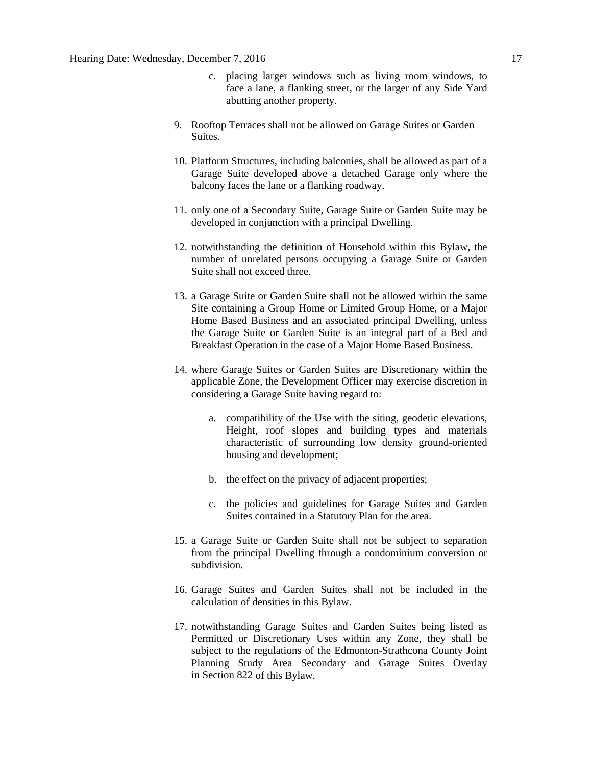- c. placing larger windows such as living room windows, to face a lane, a flanking street, or the larger of any Side Yard abutting another property.
- 9. Rooftop Terraces shall not be allowed on Garage Suites or Garden Suites.
- 10. Platform Structures, including balconies, shall be allowed as part of a Garage Suite developed above a detached Garage only where the balcony faces the lane or a flanking roadway.
- 11. only one of a Secondary Suite, Garage Suite or Garden Suite may be developed in conjunction with a principal Dwelling.
- 12. notwithstanding the definition of Household within this Bylaw, the number of unrelated persons occupying a Garage Suite or Garden Suite shall not exceed three.
- 13. a Garage Suite or Garden Suite shall not be allowed within the same Site containing a Group Home or Limited Group Home, or a Major Home Based Business and an associated principal Dwelling, unless the Garage Suite or Garden Suite is an integral part of a Bed and Breakfast Operation in the case of a Major Home Based Business.
- 14. where Garage Suites or Garden Suites are Discretionary within the applicable Zone, the Development Officer may exercise discretion in considering a Garage Suite having regard to:
	- a. compatibility of the Use with the siting, geodetic elevations, Height, roof slopes and building types and materials characteristic of surrounding low density ground-oriented housing and development;
	- b. the effect on the privacy of adjacent properties;
	- c. the policies and guidelines for Garage Suites and Garden Suites contained in a Statutory Plan for the area.
- 15. a Garage Suite or Garden Suite shall not be subject to separation from the principal Dwelling through a condominium conversion or subdivision.
- 16. Garage Suites and Garden Suites shall not be included in the calculation of densities in this Bylaw.
- 17. notwithstanding Garage Suites and Garden Suites being listed as Permitted or Discretionary Uses within any Zone, they shall be subject to the regulations of the Edmonton-Strathcona County Joint Planning Study Area Secondary and Garage Suites Overlay in [Section 822](http://webdocs.edmonton.ca/InfraPlan/zoningbylaw/ZoningBylaw/Part2/Overlays/822_822_Edmonton_Strathcona_County_Joint_Planning_Study_Area_Secondary_and_Garage_Suites_Overlay.htm) of this Bylaw.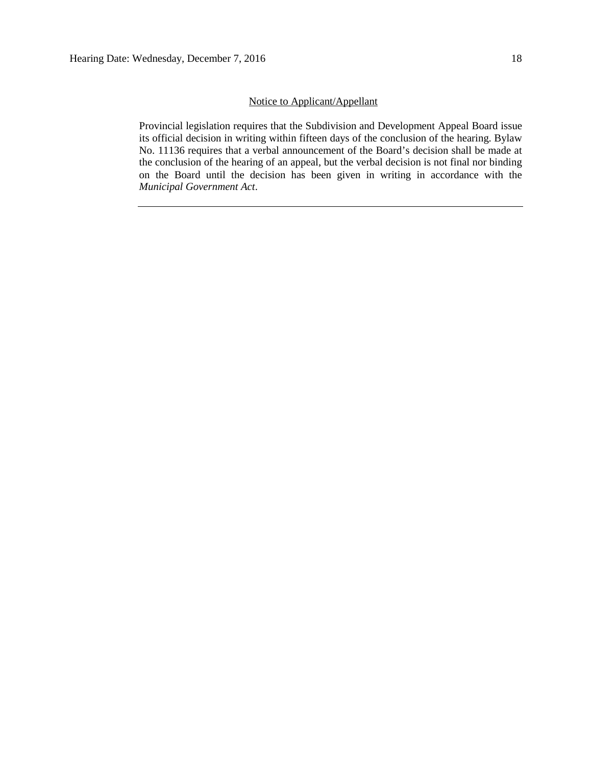#### Notice to Applicant/Appellant

Provincial legislation requires that the Subdivision and Development Appeal Board issue its official decision in writing within fifteen days of the conclusion of the hearing. Bylaw No. 11136 requires that a verbal announcement of the Board's decision shall be made at the conclusion of the hearing of an appeal, but the verbal decision is not final nor binding on the Board until the decision has been given in writing in accordance with the *Municipal Government Act*.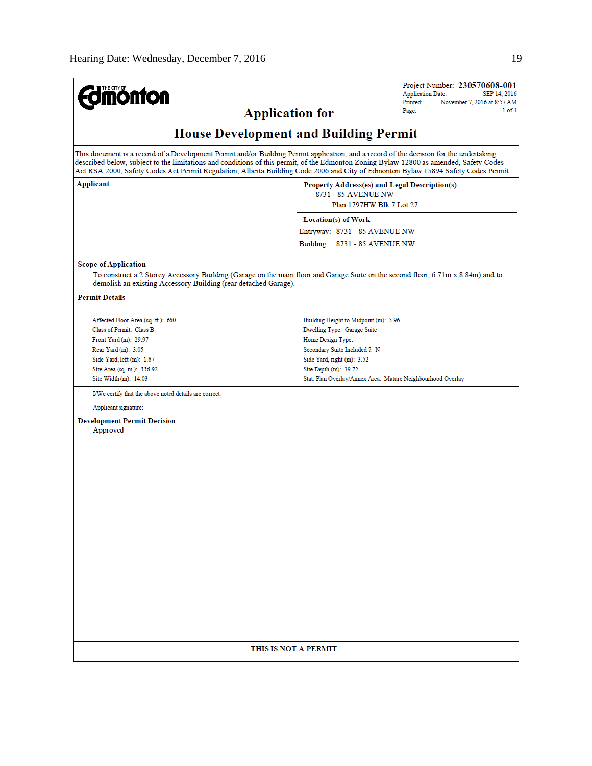| <b>mönton</b>                                                                                                                                                                                                                                                                    | Project Number: 230570608-001<br><b>Application Date:</b><br>SEP 14, 2016<br>Printed:<br>November 7, 2016 at 8:57 AM<br>1 of 3<br>Page: |
|----------------------------------------------------------------------------------------------------------------------------------------------------------------------------------------------------------------------------------------------------------------------------------|-----------------------------------------------------------------------------------------------------------------------------------------|
| <b>Application for</b>                                                                                                                                                                                                                                                           |                                                                                                                                         |
|                                                                                                                                                                                                                                                                                  | <b>House Development and Building Permit</b>                                                                                            |
| This document is a record of a Development Permit and/or Building Permit application, and a record of the decision for the undertaking<br>described below, subject to the limitations and conditions of this permit, of the Edmonton Zoning Bylaw 12800 as amended, Safety Codes | Act RSA 2000, Safety Codes Act Permit Regulation, Alberta Building Code 2006 and City of Edmonton Bylaw 15894 Safety Codes Permit       |
| Applicant                                                                                                                                                                                                                                                                        | Property Address(es) and Legal Description(s)<br>8731 - 85 AVENUE NW<br>Plan 1797HW Blk 7 Lot 27                                        |
|                                                                                                                                                                                                                                                                                  | Location(s) of Work                                                                                                                     |
|                                                                                                                                                                                                                                                                                  | Entryway: 8731 - 85 AVENUE NW                                                                                                           |
|                                                                                                                                                                                                                                                                                  | Building: 8731 - 85 AVENUE NW                                                                                                           |
| <b>Scope of Application</b>                                                                                                                                                                                                                                                      |                                                                                                                                         |
| demolish an existing Accessory Building (rear detached Garage).                                                                                                                                                                                                                  | To construct a 2 Storey Accessory Building (Garage on the main floor and Garage Suite on the second floor, 6.71m x 8.84m) and to        |
| <b>Permit Details</b>                                                                                                                                                                                                                                                            |                                                                                                                                         |
| Affected Floor Area (sq. ft.): 660                                                                                                                                                                                                                                               | Building Height to Midpoint (m): 5.96                                                                                                   |
| Class of Permit: Class B                                                                                                                                                                                                                                                         | Dwelling Type: Garage Suite                                                                                                             |
| Front Yard (m): 29.97                                                                                                                                                                                                                                                            | Home Design Type:                                                                                                                       |
| Rear Yard (m): 3.05                                                                                                                                                                                                                                                              | Secondary Suite Included ?: N                                                                                                           |
| Side Yard, left (m): 1.67                                                                                                                                                                                                                                                        | Side Yard, right (m): 3.52                                                                                                              |
| Site Area (sq. m.): 556.92<br>Site Width (m): 14.03                                                                                                                                                                                                                              | Site Depth (m): 39.72<br>Stat. Plan Overlay/Annex Area: Mature Neighbourhood Overlay                                                    |
| I/We certify that the above noted details are correct.                                                                                                                                                                                                                           |                                                                                                                                         |
| Applicant signature:                                                                                                                                                                                                                                                             |                                                                                                                                         |
| <b>Development Permit Decision</b><br>Approved                                                                                                                                                                                                                                   |                                                                                                                                         |
|                                                                                                                                                                                                                                                                                  | THIS IS NOT A PERMIT                                                                                                                    |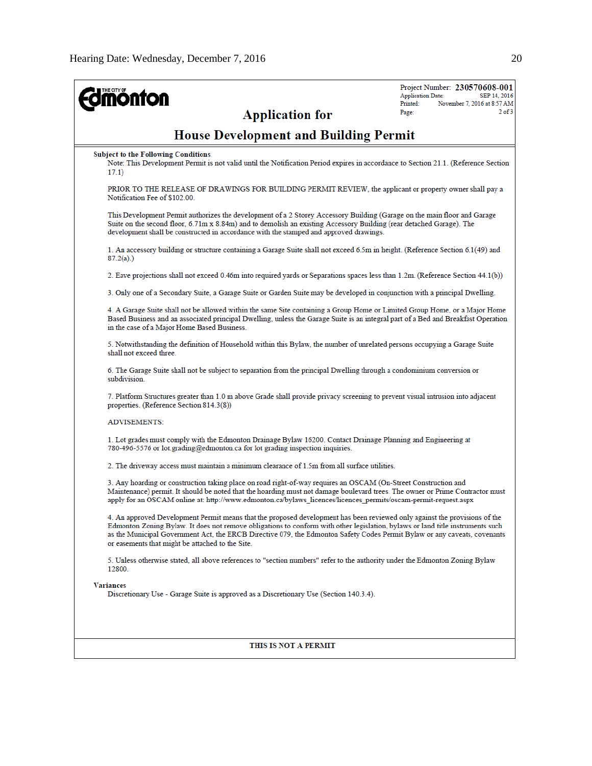| <b>mönton</b><br><b>Application for</b>                                                                                                                                                                                                                                                                                                                                                                                                       | Project Number: 230570608-001<br>SEP 14, 2016<br><b>Application Date:</b><br>Printed:<br>November 7, 2016 at 8:57 AM<br>$2$ of $3$<br>Page: |
|-----------------------------------------------------------------------------------------------------------------------------------------------------------------------------------------------------------------------------------------------------------------------------------------------------------------------------------------------------------------------------------------------------------------------------------------------|---------------------------------------------------------------------------------------------------------------------------------------------|
| <b>House Development and Building Permit</b>                                                                                                                                                                                                                                                                                                                                                                                                  |                                                                                                                                             |
| <b>Subject to the Following Conditions</b><br>Note: This Development Permit is not valid until the Notification Period expires in accordance to Section 21.1. (Reference Section<br>17.1)                                                                                                                                                                                                                                                     |                                                                                                                                             |
| PRIOR TO THE RELEASE OF DRAWINGS FOR BUILDING PERMIT REVIEW, the applicant or property owner shall pay a<br>Notification Fee of \$102.00.                                                                                                                                                                                                                                                                                                     |                                                                                                                                             |
| This Development Permit authorizes the development of a 2 Storey Accessory Building (Garage on the main floor and Garage<br>Suite on the second floor, 6.71m x 8.84m) and to demolish an existing Accessory Building (rear detached Garage). The<br>development shall be constructed in accordance with the stamped and approved drawings.                                                                                                    |                                                                                                                                             |
| 1. An accessory building or structure containing a Garage Suite shall not exceed 6.5m in height. (Reference Section 6.1(49) and<br>$87.2(a)$ .)                                                                                                                                                                                                                                                                                               |                                                                                                                                             |
| 2. Eave projections shall not exceed 0.46m into required vards or Separations spaces less than 1.2m. (Reference Section 44.1(b))                                                                                                                                                                                                                                                                                                              |                                                                                                                                             |
| 3. Only one of a Secondary Suite, a Garage Suite or Garden Suite may be developed in conjunction with a principal Dwelling.                                                                                                                                                                                                                                                                                                                   |                                                                                                                                             |
| 4. A Garage Suite shall not be allowed within the same Site containing a Group Home or Limited Group Home, or a Major Home<br>Based Business and an associated principal Dwelling, unless the Garage Suite is an integral part of a Bed and Breakfast Operation<br>in the case of a Major Home Based Business.                                                                                                                                |                                                                                                                                             |
| 5. Notwithstanding the definition of Household within this Bylaw, the number of unrelated persons occupying a Garage Suite<br>shall not exceed three.                                                                                                                                                                                                                                                                                         |                                                                                                                                             |
| 6. The Garage Suite shall not be subject to separation from the principal Dwelling through a condominium conversion or<br>subdivision.                                                                                                                                                                                                                                                                                                        |                                                                                                                                             |
| 7. Platform Structures greater than 1.0 m above Grade shall provide privacy screening to prevent visual intrusion into adjacent<br>properties. (Reference Section 814.3(8))                                                                                                                                                                                                                                                                   |                                                                                                                                             |
| <b>ADVISEMENTS:</b>                                                                                                                                                                                                                                                                                                                                                                                                                           |                                                                                                                                             |
| 1. Lot grades must comply with the Edmonton Drainage Bylaw 16200. Contact Drainage Planning and Engineering at<br>780-496-5576 or lot grading@edmonton.ca for lot grading inspection inquiries.                                                                                                                                                                                                                                               |                                                                                                                                             |
| 2. The driveway access must maintain a minimum clearance of 1.5m from all surface utilities.                                                                                                                                                                                                                                                                                                                                                  |                                                                                                                                             |
| 3. Any hoarding or construction taking place on road right-of-way requires an OSCAM (On-Street Construction and<br>Maintenance) permit. It should be noted that the hoarding must not damage boulevard trees. The owner or Prime Contractor must<br>apply for an OSCAM online at: http://www.edmonton.ca/bylaws_licences/licences_permits/oscam-permit-request.aspx                                                                           |                                                                                                                                             |
| 4. An approved Development Permit means that the proposed development has been reviewed only against the provisions of the<br>Edmonton Zoning Bylaw. It does not remove obligations to conform with other legislation, bylaws or land title instruments such<br>as the Municipal Government Act, the ERCB Directive 079, the Edmonton Safety Codes Permit Bylaw or any caveats, covenants<br>or easements that might be attached to the Site. |                                                                                                                                             |
| 5. Unless otherwise stated, all above references to "section numbers" refer to the authority under the Edmonton Zoning Bylaw<br>12800.                                                                                                                                                                                                                                                                                                        |                                                                                                                                             |
| <b>Variances</b><br>Discretionary Use - Garage Suite is approved as a Discretionary Use (Section 140.3.4).                                                                                                                                                                                                                                                                                                                                    |                                                                                                                                             |
| THIS IS NOT A PERMIT                                                                                                                                                                                                                                                                                                                                                                                                                          |                                                                                                                                             |
|                                                                                                                                                                                                                                                                                                                                                                                                                                               |                                                                                                                                             |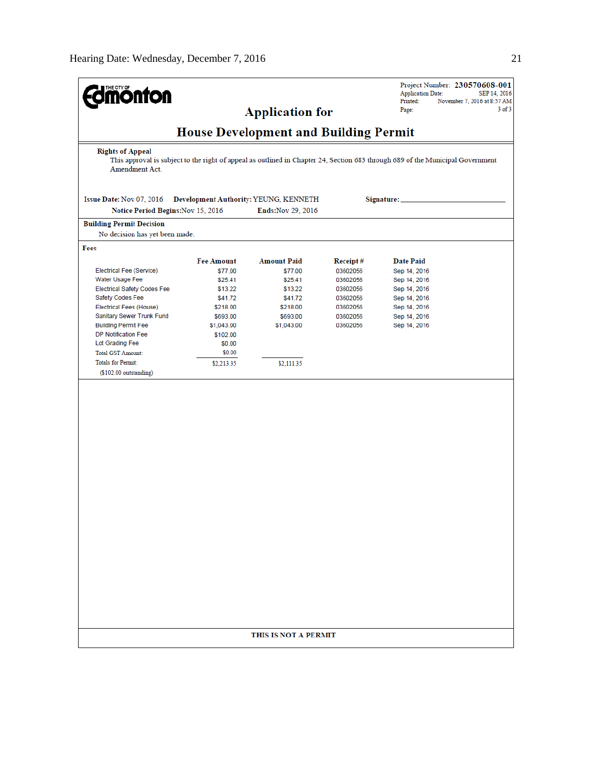| <b>Imónton</b>                                                                                                                                                              |                    |                                              |                      | Project Number: 230570608-001<br><b>Application Date:</b><br>SEP 14, 2016<br>Printed:<br>November 7, 2016 at 8:57 AM |
|-----------------------------------------------------------------------------------------------------------------------------------------------------------------------------|--------------------|----------------------------------------------|----------------------|----------------------------------------------------------------------------------------------------------------------|
|                                                                                                                                                                             |                    | <b>Application for</b>                       |                      | $3$ of $3$<br>Page:                                                                                                  |
|                                                                                                                                                                             |                    |                                              |                      |                                                                                                                      |
|                                                                                                                                                                             |                    | <b>House Development and Building Permit</b> |                      |                                                                                                                      |
| <b>Rights of Appeal</b><br>This approval is subject to the right of appeal as outlined in Chapter 24, Section 683 through 689 of the Municipal Government<br>Amendment Act. |                    |                                              |                      |                                                                                                                      |
| Issue Date: Nov 07, 2016                                                                                                                                                    |                    | Development Authority: YEUNG, KENNETH        |                      | Signature:                                                                                                           |
| Notice Period Begins: Nov 15, 2016                                                                                                                                          |                    | Ends: Nov 29, 2016                           |                      |                                                                                                                      |
| <b>Building Permit Decision</b>                                                                                                                                             |                    |                                              |                      |                                                                                                                      |
| No decision has yet been made.                                                                                                                                              |                    |                                              |                      |                                                                                                                      |
| Fees                                                                                                                                                                        |                    |                                              |                      |                                                                                                                      |
|                                                                                                                                                                             | <b>Fee Amount</b>  | <b>Amount Paid</b>                           | Receipt#             | <b>Date Paid</b>                                                                                                     |
| Electrical Fee (Service)                                                                                                                                                    | \$77.00            | \$77.00                                      | 03602056             | Sep 14, 2016                                                                                                         |
| Water Usage Fee                                                                                                                                                             | \$25.41            | \$25.41<br>\$13.22                           | 03602056             | Sep 14, 2016                                                                                                         |
| <b>Electrical Safety Codes Fee</b><br>Safety Codes Fee                                                                                                                      | \$13.22<br>\$41.72 | \$41.72                                      | 03602056<br>03602056 | Sep 14, 2016<br>Sep 14, 2016                                                                                         |
| <b>Electrical Fees (House)</b>                                                                                                                                              | \$218.00           | \$218.00                                     | 03602056             | Sep 14, 2016                                                                                                         |
| Sanitary Sewer Trunk Fund                                                                                                                                                   | \$693.00           | \$693.00                                     | 03602056             | Sep 14, 2016                                                                                                         |
| <b>Building Permit Fee</b>                                                                                                                                                  | \$1,043.00         | \$1,043.00                                   | 03602056             | Sep 14, 2016                                                                                                         |
| <b>DP Notification Fee</b>                                                                                                                                                  | \$102.00           |                                              |                      |                                                                                                                      |
| Lot Grading Fee                                                                                                                                                             | \$0.00             |                                              |                      |                                                                                                                      |
| <b>Total GST Amount:</b>                                                                                                                                                    | \$0.00             |                                              |                      |                                                                                                                      |
| <b>Totals for Permit:</b>                                                                                                                                                   | \$2,213.35         | \$2,111.35                                   |                      |                                                                                                                      |
| $($102.00$ outstanding)                                                                                                                                                     |                    |                                              |                      |                                                                                                                      |
|                                                                                                                                                                             |                    |                                              |                      |                                                                                                                      |
|                                                                                                                                                                             |                    |                                              |                      |                                                                                                                      |
|                                                                                                                                                                             |                    |                                              |                      |                                                                                                                      |
|                                                                                                                                                                             |                    |                                              |                      |                                                                                                                      |
|                                                                                                                                                                             |                    |                                              |                      |                                                                                                                      |
|                                                                                                                                                                             |                    |                                              |                      |                                                                                                                      |
|                                                                                                                                                                             |                    |                                              |                      |                                                                                                                      |
|                                                                                                                                                                             |                    |                                              |                      |                                                                                                                      |
|                                                                                                                                                                             |                    |                                              |                      |                                                                                                                      |
|                                                                                                                                                                             |                    |                                              |                      |                                                                                                                      |
|                                                                                                                                                                             |                    |                                              |                      |                                                                                                                      |
|                                                                                                                                                                             |                    |                                              |                      |                                                                                                                      |
|                                                                                                                                                                             |                    |                                              |                      |                                                                                                                      |
|                                                                                                                                                                             |                    |                                              |                      |                                                                                                                      |
|                                                                                                                                                                             |                    |                                              |                      |                                                                                                                      |
|                                                                                                                                                                             |                    |                                              |                      |                                                                                                                      |
|                                                                                                                                                                             |                    |                                              |                      |                                                                                                                      |
|                                                                                                                                                                             |                    |                                              |                      |                                                                                                                      |
|                                                                                                                                                                             |                    |                                              |                      |                                                                                                                      |
|                                                                                                                                                                             |                    |                                              |                      |                                                                                                                      |
|                                                                                                                                                                             |                    |                                              |                      |                                                                                                                      |
|                                                                                                                                                                             |                    |                                              |                      |                                                                                                                      |
|                                                                                                                                                                             |                    |                                              |                      |                                                                                                                      |
|                                                                                                                                                                             |                    |                                              |                      |                                                                                                                      |
|                                                                                                                                                                             |                    | THIS IS NOT A PERMIT                         |                      |                                                                                                                      |
|                                                                                                                                                                             |                    |                                              |                      |                                                                                                                      |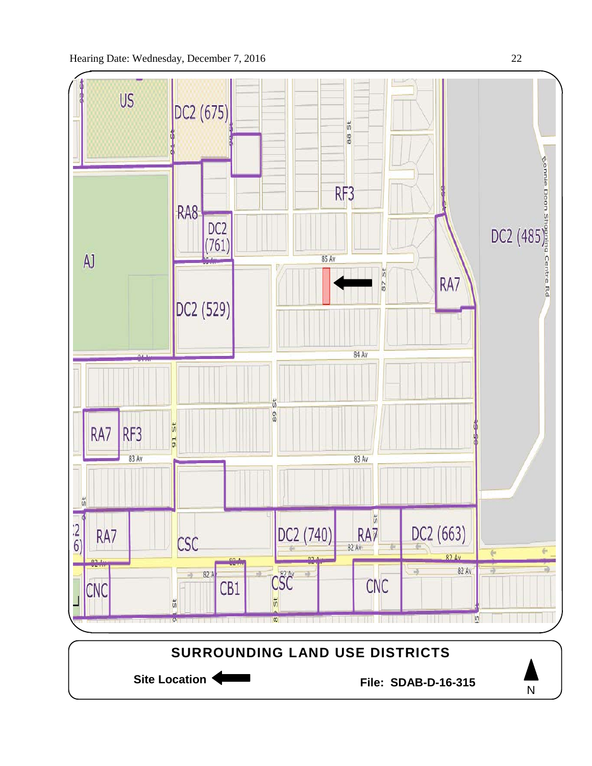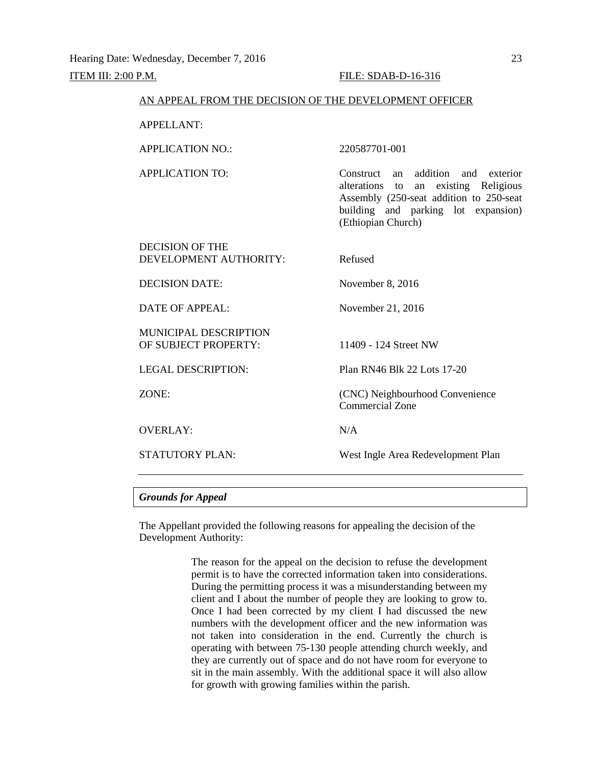# AN APPEAL FROM THE DECISION OF THE DEVELOPMENT OFFICER APPELLANT: APPLICATION NO.: 220587701-001 APPLICATION TO: Construct an addition and exterior alterations to an existing Religious Assembly (250-seat addition to 250-seat building and parking lot expansion) (Ethiopian Church) DECISION OF THE DEVELOPMENT AUTHORITY: Refused DECISION DATE: November 8, 2016 DATE OF APPEAL: November 21, 2016 MUNICIPAL DESCRIPTION OF SUBJECT PROPERTY: 11409 - 124 Street NW LEGAL DESCRIPTION: Plan RN46 Blk 22 Lots 17-20 ZONE: (CNC) Neighbourhood Convenience Commercial Zone OVERLAY: N/A STATUTORY PLAN: West Ingle Area Redevelopment Plan

### *Grounds for Appeal*

The Appellant provided the following reasons for appealing the decision of the Development Authority:

> The reason for the appeal on the decision to refuse the development permit is to have the corrected information taken into considerations. During the permitting process it was a misunderstanding between my client and I about the number of people they are looking to grow to. Once I had been corrected by my client I had discussed the new numbers with the development officer and the new information was not taken into consideration in the end. Currently the church is operating with between 75-130 people attending church weekly, and they are currently out of space and do not have room for everyone to sit in the main assembly. With the additional space it will also allow for growth with growing families within the parish.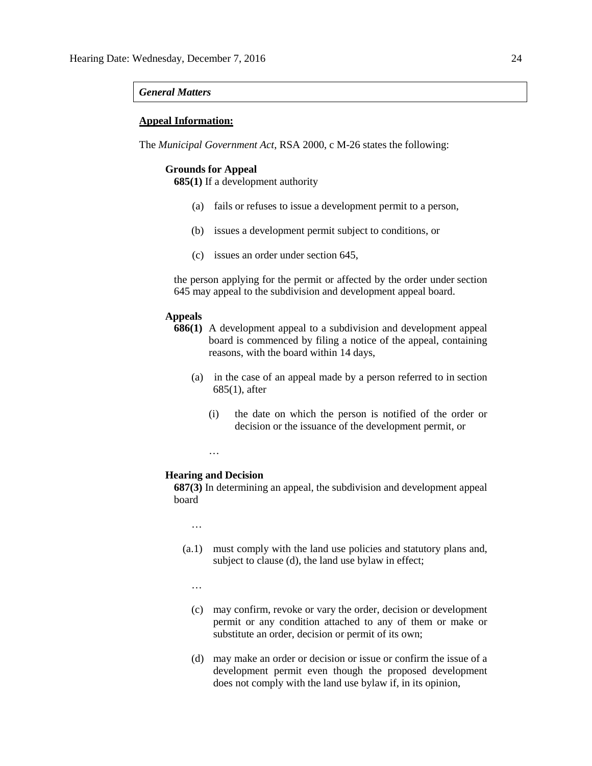#### *General Matters*

#### **Appeal Information:**

The *Municipal Government Act*, RSA 2000, c M-26 states the following:

### **Grounds for Appeal**

**685(1)** If a development authority

- (a) fails or refuses to issue a development permit to a person,
- (b) issues a development permit subject to conditions, or
- (c) issues an order under section 645,

the person applying for the permit or affected by the order under section 645 may appeal to the subdivision and development appeal board.

#### **Appeals**

- **686(1)** A development appeal to a subdivision and development appeal board is commenced by filing a notice of the appeal, containing reasons, with the board within 14 days,
	- (a) in the case of an appeal made by a person referred to in section 685(1), after
		- (i) the date on which the person is notified of the order or decision or the issuance of the development permit, or

…

#### **Hearing and Decision**

**687(3)** In determining an appeal, the subdivision and development appeal board

…

- (a.1) must comply with the land use policies and statutory plans and, subject to clause (d), the land use bylaw in effect;
	- …
	- (c) may confirm, revoke or vary the order, decision or development permit or any condition attached to any of them or make or substitute an order, decision or permit of its own;
	- (d) may make an order or decision or issue or confirm the issue of a development permit even though the proposed development does not comply with the land use bylaw if, in its opinion,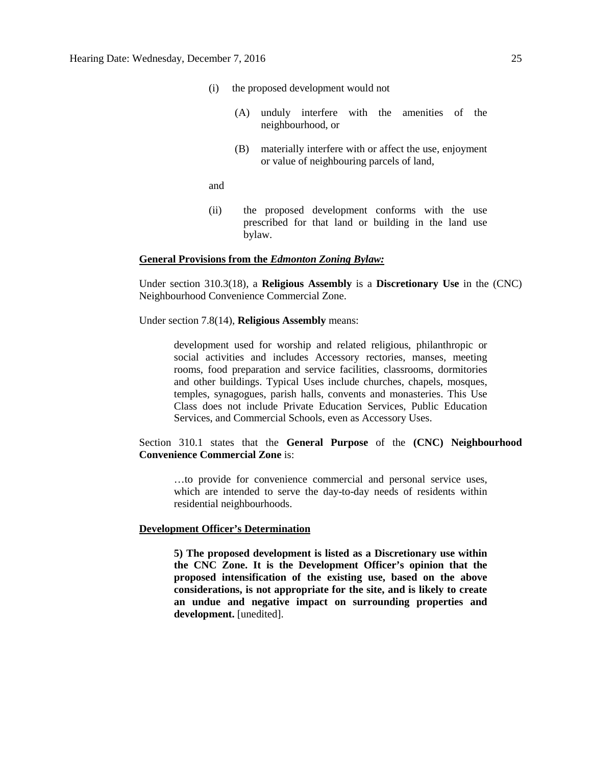- (i) the proposed development would not
	- (A) unduly interfere with the amenities of the neighbourhood, or
	- (B) materially interfere with or affect the use, enjoyment or value of neighbouring parcels of land,

and

(ii) the proposed development conforms with the use prescribed for that land or building in the land use bylaw.

#### **General Provisions from the** *Edmonton Zoning Bylaw:*

Under section 310.3(18), a **Religious Assembly** is a **Discretionary Use** in the (CNC) Neighbourhood Convenience Commercial Zone.

#### Under section 7.8(14), **Religious Assembly** means:

development used for worship and related religious, philanthropic or social activities and includes Accessory rectories, manses, meeting rooms, food preparation and service facilities, classrooms, dormitories and other buildings. Typical Uses include churches, chapels, mosques, temples, synagogues, parish halls, convents and monasteries. This Use Class does not include Private Education Services, Public Education Services, and Commercial Schools, even as Accessory Uses.

## Section 310.1 states that the **General Purpose** of the **(CNC) Neighbourhood Convenience Commercial Zone** is:

…to provide for convenience commercial and personal service uses, which are intended to serve the day-to-day needs of residents within residential neighbourhoods.

#### **Development Officer's Determination**

**5) The proposed development is listed as a Discretionary use within the CNC Zone. It is the Development Officer's opinion that the proposed intensification of the existing use, based on the above considerations, is not appropriate for the site, and is likely to create an undue and negative impact on surrounding properties and development.** [unedited].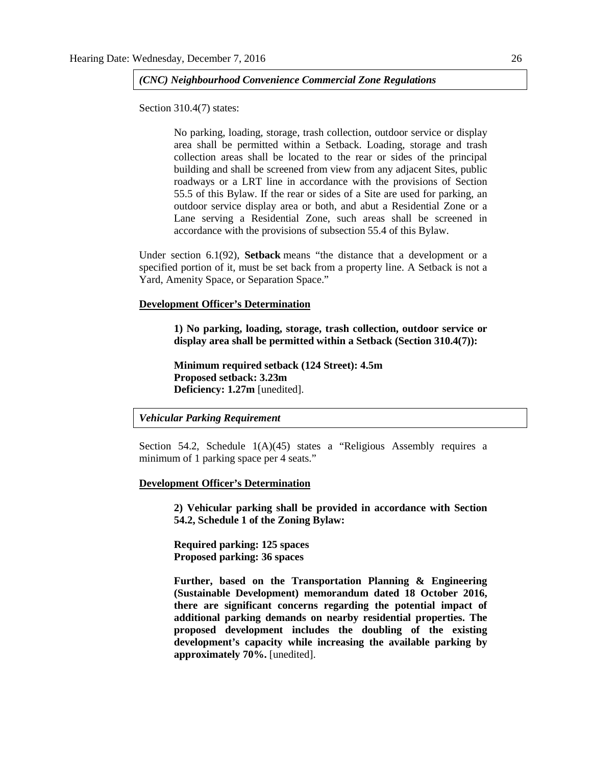#### *(CNC) Neighbourhood Convenience Commercial Zone Regulations*

Section 310.4(7) states:

No parking, loading, storage, trash collection, outdoor service or display area shall be permitted within a Setback. Loading, storage and trash collection areas shall be located to the rear or sides of the principal building and shall be screened from view from any adjacent Sites, public roadways or a LRT line in accordance with the provisions of Section 55.5 of this Bylaw. If the rear or sides of a Site are used for parking, an outdoor service display area or both, and abut a Residential Zone or a Lane serving a Residential Zone, such areas shall be screened in accordance with the provisions of subsection 55.4 of this Bylaw.

Under section 6.1(92), **Setback** means "the distance that a development or a specified portion of it, must be set back from a property line. A Setback is not a Yard, Amenity Space, or Separation Space."

#### **Development Officer's Determination**

**1) No parking, loading, storage, trash collection, outdoor service or display area shall be permitted within a Setback (Section 310.4(7)):**

**Minimum required setback (124 Street): 4.5m Proposed setback: 3.23m Deficiency: 1.27m** [unedited].

#### *Vehicular Parking Requirement*

Section 54.2, Schedule 1(A)(45) states a "Religious Assembly requires a minimum of 1 parking space per 4 seats."

#### **Development Officer's Determination**

**2) Vehicular parking shall be provided in accordance with Section 54.2, Schedule 1 of the Zoning Bylaw:**

**Required parking: 125 spaces Proposed parking: 36 spaces**

**Further, based on the Transportation Planning & Engineering (Sustainable Development) memorandum dated 18 October 2016, there are significant concerns regarding the potential impact of additional parking demands on nearby residential properties. The proposed development includes the doubling of the existing development's capacity while increasing the available parking by approximately 70%.** [unedited].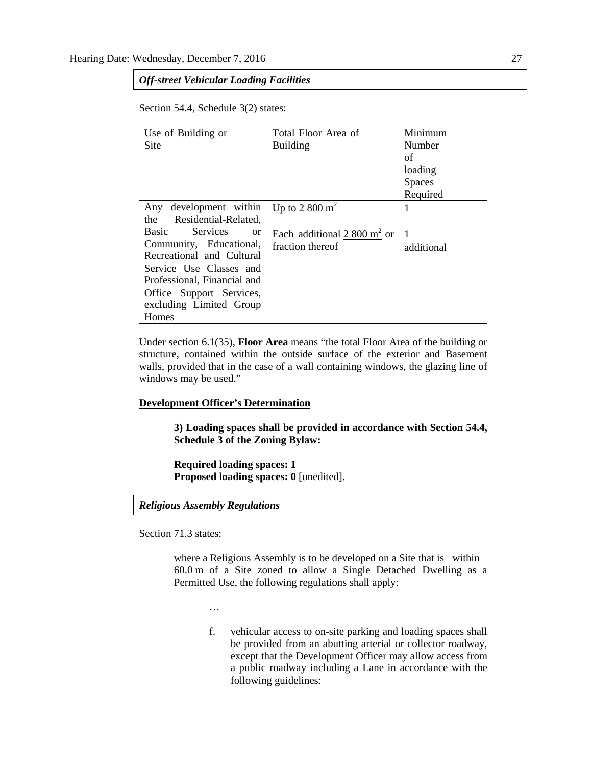## *Off-street Vehicular Loading Facilities*

Section 54.4, Schedule 3(2) states:

| Use of Building or                        | Total Floor Area of           | Minimum       |
|-------------------------------------------|-------------------------------|---------------|
| Site                                      | <b>Building</b>               | Number        |
|                                           |                               | of            |
|                                           |                               | loading       |
|                                           |                               | <b>Spaces</b> |
|                                           |                               | Required      |
| development within<br>Any                 | Up to $2800 \text{ m}^2$      |               |
| the Residential-Related,                  |                               |               |
| Services<br><b>Basic</b><br><sub>or</sub> | Each additional 2 800 $m2$ or | 1             |
| Community, Educational,                   | fraction thereof              | additional    |
| Recreational and Cultural                 |                               |               |
| Service Use Classes and                   |                               |               |
| Professional, Financial and               |                               |               |
| Office Support Services,                  |                               |               |
| excluding Limited Group                   |                               |               |
| Homes                                     |                               |               |

Under section 6.1(35), **Floor Area** means "the total Floor Area of the building or structure, contained within the outside surface of the exterior and Basement walls, provided that in the case of a wall containing windows, the glazing line of windows may be used."

#### **Development Officer's Determination**

**3) Loading spaces shall be provided in accordance with Section 54.4, Schedule 3 of the Zoning Bylaw:**

**Required loading spaces: 1 Proposed loading spaces: 0** [unedited].

*Religious Assembly Regulations*

Section 71.3 states:

where a [Religious Assembly](javascript:void(0);) is to be developed on a Site that is within 60.0 m of a Site zoned to allow a Single Detached Dwelling as a Permitted Use, the following regulations shall apply:

…

f. vehicular access to on-site parking and loading spaces shall be provided from an abutting arterial or collector roadway, except that the Development Officer may allow access from a public roadway including a Lane in accordance with the following guidelines: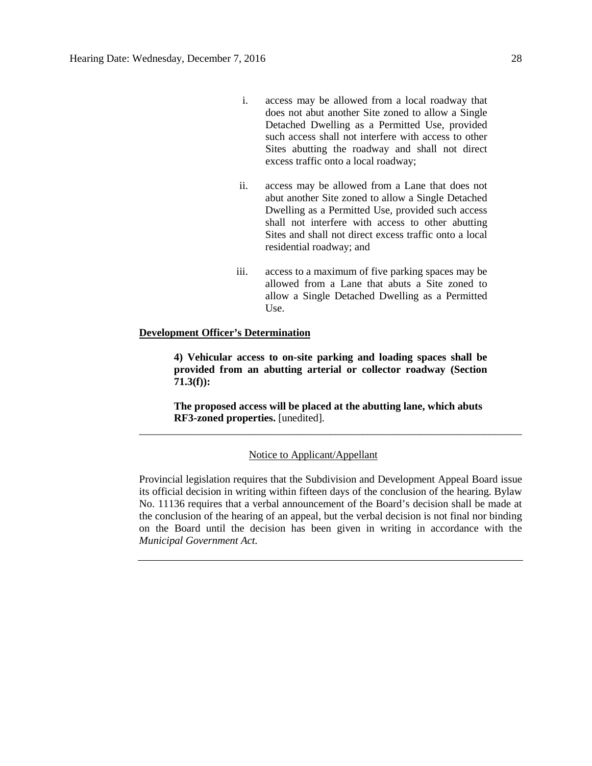- i. access may be allowed from a local roadway that does not abut another Site zoned to allow a Single Detached Dwelling as a Permitted Use, provided such access shall not interfere with access to other Sites abutting the roadway and shall not direct excess traffic onto a local roadway;
- ii. access may be allowed from a Lane that does not abut another Site zoned to allow a Single Detached Dwelling as a Permitted Use, provided such access shall not interfere with access to other abutting Sites and shall not direct excess traffic onto a local residential roadway; and
- iii. access to a maximum of five parking spaces may be allowed from a Lane that abuts a Site zoned to allow a Single Detached Dwelling as a Permitted Use.

#### **Development Officer's Determination**

**4) Vehicular access to on-site parking and loading spaces shall be provided from an abutting arterial or collector roadway (Section 71.3(f)):**

**The proposed access will be placed at the abutting lane, which abuts RF3-zoned properties.** [unedited]. \_\_\_\_\_\_\_\_\_\_\_\_\_\_\_\_\_\_\_\_\_\_\_\_\_\_\_\_\_\_\_\_\_\_\_\_\_\_\_\_\_\_\_\_\_\_\_\_\_\_\_\_\_\_\_\_\_\_\_\_\_\_\_\_\_\_\_\_\_\_\_\_

#### Notice to Applicant/Appellant

Provincial legislation requires that the Subdivision and Development Appeal Board issue its official decision in writing within fifteen days of the conclusion of the hearing. Bylaw No. 11136 requires that a verbal announcement of the Board's decision shall be made at the conclusion of the hearing of an appeal, but the verbal decision is not final nor binding on the Board until the decision has been given in writing in accordance with the *Municipal Government Act.*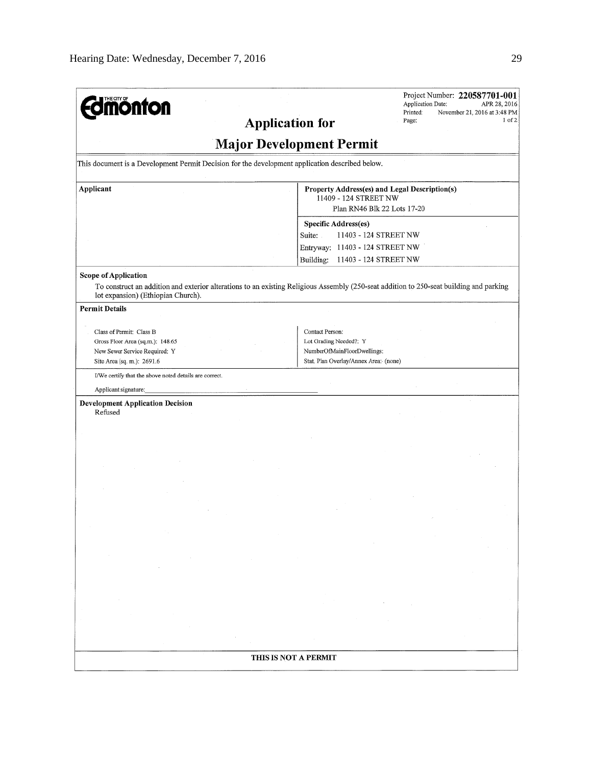| <b>mönton</b>                                                                                                                                        | Project Number: 220587701-001<br>Application Date:<br>APR 28, 2016<br>Printed:<br>November 21, 2016 at 3:48 PM<br>1 of 2<br><b>Application for</b><br>Page: |  |  |  |
|------------------------------------------------------------------------------------------------------------------------------------------------------|-------------------------------------------------------------------------------------------------------------------------------------------------------------|--|--|--|
| <b>Major Development Permit</b>                                                                                                                      |                                                                                                                                                             |  |  |  |
| This document is a Development Permit Decision for the development application described below.                                                      |                                                                                                                                                             |  |  |  |
| Applicant                                                                                                                                            | Property Address(es) and Legal Description(s)<br>11409 - 124 STREET NW<br>Plan RN46 Blk 22 Lots 17-20                                                       |  |  |  |
|                                                                                                                                                      | Specific Address(es)<br>Suite:<br>11403 - 124 STREET NW<br>Entryway: 11403 - 124 STREET NW<br>Building:<br>11403 - 124 STREET NW                            |  |  |  |
| <b>Scope of Application</b><br>lot expansion) (Ethiopian Church).                                                                                    | To construct an addition and exterior alterations to an existing Religious Assembly (250-seat addition to 250-seat building and parking                     |  |  |  |
| <b>Permit Details</b><br>Class of Permit: Class B<br>Gross Floor Area (sq.m.): 148.65<br>New Sewer Service Required: Y<br>Site Area (sq. m.): 2691.6 | Contact Person:<br>Lot Grading Needed?: Y<br>NumberOfMainFloorDwellings:<br>Stat. Plan Overlay/Annex Area: (none)                                           |  |  |  |
| I/We certify that the above noted details are correct.                                                                                               |                                                                                                                                                             |  |  |  |
| Applicant signature:                                                                                                                                 |                                                                                                                                                             |  |  |  |
| <b>Development Application Decision</b><br>Refused                                                                                                   |                                                                                                                                                             |  |  |  |
|                                                                                                                                                      |                                                                                                                                                             |  |  |  |
|                                                                                                                                                      |                                                                                                                                                             |  |  |  |
|                                                                                                                                                      |                                                                                                                                                             |  |  |  |
|                                                                                                                                                      | THIS IS NOT A PERMIT                                                                                                                                        |  |  |  |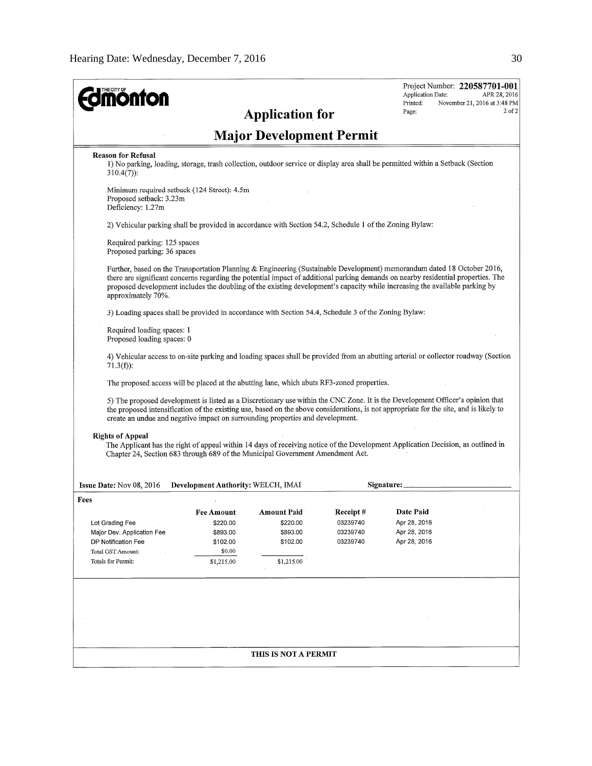| <b>mönton</b>                                                                                                                                                                                                                                                                                                                                                                                                     |                                    |                                 |          | Application Date:<br>Printed: | Project Number: 220587701-001<br>APR 28, 2016<br>November 21, 2016 at 3:48 PM |
|-------------------------------------------------------------------------------------------------------------------------------------------------------------------------------------------------------------------------------------------------------------------------------------------------------------------------------------------------------------------------------------------------------------------|------------------------------------|---------------------------------|----------|-------------------------------|-------------------------------------------------------------------------------|
|                                                                                                                                                                                                                                                                                                                                                                                                                   |                                    | <b>Application for</b>          |          | Page:                         | $2$ of $2$                                                                    |
|                                                                                                                                                                                                                                                                                                                                                                                                                   |                                    | <b>Major Development Permit</b> |          |                               |                                                                               |
| <b>Reason for Refusal</b><br>1) No parking, loading, storage, trash collection, outdoor service or display area shall be permitted within a Setback (Section<br>$310.4(7)$ :                                                                                                                                                                                                                                      |                                    |                                 |          |                               |                                                                               |
| Minimum required setback (124 Street): 4.5m<br>Proposed setback: 3.23m<br>Deficiency: 1.27m                                                                                                                                                                                                                                                                                                                       |                                    |                                 |          |                               |                                                                               |
| 2) Vehicular parking shall be provided in accordance with Section 54.2, Schedule 1 of the Zoning Bylaw:                                                                                                                                                                                                                                                                                                           |                                    |                                 |          |                               |                                                                               |
| Required parking: 125 spaces<br>Proposed parking: 36 spaces                                                                                                                                                                                                                                                                                                                                                       |                                    |                                 |          |                               |                                                                               |
| Further, based on the Transportation Planning & Engineering (Sustainable Development) memorandum dated 18 October 2016,<br>there are significant concerns regarding the potential impact of additional parking demands on nearby residential properties. The<br>proposed development includes the doubling of the existing development's capacity while increasing the available parking by<br>approximately 70%. |                                    |                                 |          |                               |                                                                               |
| 3) Loading spaces shall be provided in accordance with Section 54.4, Schedule 3 of the Zoning Bylaw:                                                                                                                                                                                                                                                                                                              |                                    |                                 |          |                               |                                                                               |
| Required loading spaces: 1<br>Proposed loading spaces: 0                                                                                                                                                                                                                                                                                                                                                          |                                    |                                 |          |                               |                                                                               |
| 4) Vehicular access to on-site parking and loading spaces shall be provided from an abutting arterial or collector roadway (Section<br>$71.3(f)$ :                                                                                                                                                                                                                                                                |                                    |                                 |          |                               |                                                                               |
| The proposed access will be placed at the abutting lane, which abuts RF3-zoned properties.                                                                                                                                                                                                                                                                                                                        |                                    |                                 |          |                               |                                                                               |
| 5) The proposed development is listed as a Discretionary use within the CNC Zone. It is the Development Officer's opinion that<br>the proposed intensification of the existing use, based on the above considerations, is not appropriate for the site, and is likely to<br>create an undue and negative impact on surrounding properties and development.                                                        |                                    |                                 |          |                               |                                                                               |
| <b>Rights of Appeal</b><br>The Applicant has the right of appeal within 14 days of receiving notice of the Development Application Decision, as outlined in<br>Chapter 24, Section 683 through 689 of the Municipal Government Amendment Act.                                                                                                                                                                     |                                    |                                 |          |                               |                                                                               |
|                                                                                                                                                                                                                                                                                                                                                                                                                   |                                    |                                 |          |                               |                                                                               |
| Issue Date: Nov 08, 2016<br>Fees                                                                                                                                                                                                                                                                                                                                                                                  | Development Authority: WELCH, IMAI |                                 |          | Signature:                    |                                                                               |
|                                                                                                                                                                                                                                                                                                                                                                                                                   | Fee Amount                         | <b>Amount Paid</b>              | Receipt# | <b>Date Paid</b>              |                                                                               |
| Lot Grading Fee                                                                                                                                                                                                                                                                                                                                                                                                   | \$220.00                           | \$220.00                        | 03239740 | Apr 28, 2016                  |                                                                               |
| Major Dev. Application Fee                                                                                                                                                                                                                                                                                                                                                                                        | \$893.00                           | \$893.00                        | 03239740 | Apr 28, 2016                  |                                                                               |
| DP Notification Fee                                                                                                                                                                                                                                                                                                                                                                                               | \$102.00                           | \$102.00                        | 03239740 | Apr 28, 2016                  |                                                                               |
| Total GST Amount:                                                                                                                                                                                                                                                                                                                                                                                                 | \$0.00                             |                                 |          |                               |                                                                               |
| Totals for Permit:                                                                                                                                                                                                                                                                                                                                                                                                | \$1,215.00                         | \$1,215.00                      |          |                               |                                                                               |
|                                                                                                                                                                                                                                                                                                                                                                                                                   |                                    |                                 |          |                               |                                                                               |
|                                                                                                                                                                                                                                                                                                                                                                                                                   |                                    |                                 |          |                               |                                                                               |
|                                                                                                                                                                                                                                                                                                                                                                                                                   |                                    |                                 |          |                               |                                                                               |
|                                                                                                                                                                                                                                                                                                                                                                                                                   |                                    |                                 |          |                               |                                                                               |
|                                                                                                                                                                                                                                                                                                                                                                                                                   |                                    | THIS IS NOT A PERMIT            |          |                               |                                                                               |
|                                                                                                                                                                                                                                                                                                                                                                                                                   |                                    |                                 |          |                               |                                                                               |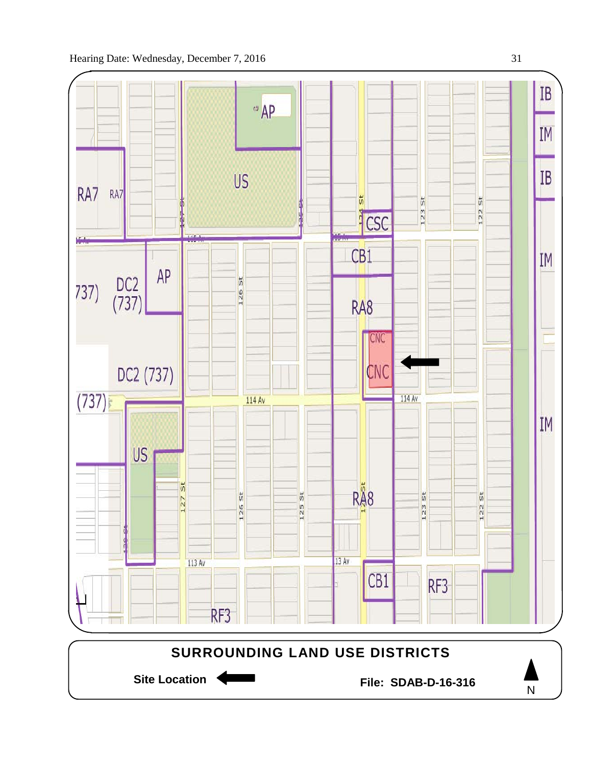